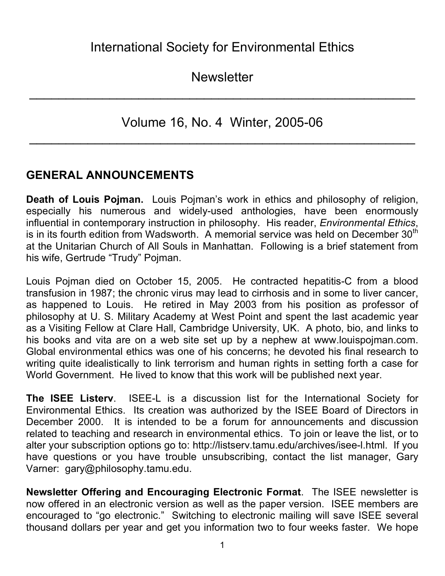**Newsletter** 

 $\mathcal{L}_\text{max}$  and  $\mathcal{L}_\text{max}$  and  $\mathcal{L}_\text{max}$  and  $\mathcal{L}_\text{max}$  and  $\mathcal{L}_\text{max}$  and  $\mathcal{L}_\text{max}$ 

Volume 16, No. 4 Winter, 2005-06

 $\mathcal{L}_\text{max}$  and  $\mathcal{L}_\text{max}$  and  $\mathcal{L}_\text{max}$  and  $\mathcal{L}_\text{max}$  and  $\mathcal{L}_\text{max}$  and  $\mathcal{L}_\text{max}$ 

# **GENERAL ANNOUNCEMENTS**

**Death of Louis Pojman.** Louis Pojman's work in ethics and philosophy of religion, especially his numerous and widely-used anthologies, have been enormously influential in contemporary instruction in philosophy. His reader, *Environmental Ethics*, is in its fourth edition from Wadsworth. A memorial service was held on December  $30<sup>th</sup>$ at the Unitarian Church of All Souls in Manhattan. Following is a brief statement from his wife, Gertrude "Trudy" Pojman.

Louis Pojman died on October 15, 2005. He contracted hepatitis-C from a blood transfusion in 1987; the chronic virus may lead to cirrhosis and in some to liver cancer, as happened to Louis. He retired in May 2003 from his position as professor of philosophy at U. S. Military Academy at West Point and spent the last academic year as a Visiting Fellow at Clare Hall, Cambridge University, UK. A photo, bio, and links to his books and vita are on a web site set up by a nephew at www.louispojman.com. Global environmental ethics was one of his concerns; he devoted his final research to writing quite idealistically to link terrorism and human rights in setting forth a case for World Government. He lived to know that this work will be published next year.

**The ISEE Listerv**. ISEE-L is a discussion list for the International Society for Environmental Ethics. Its creation was authorized by the ISEE Board of Directors in December 2000. It is intended to be a forum for announcements and discussion related to teaching and research in environmental ethics. To join or leave the list, or to alter your subscription options go to: http://listserv.tamu.edu/archives/isee-l.html. If you have questions or you have trouble unsubscribing, contact the list manager, Gary Varner: gary@philosophy.tamu.edu.

**Newsletter Offering and Encouraging Electronic Format**. The ISEE newsletter is now offered in an electronic version as well as the paper version. ISEE members are encouraged to "go electronic." Switching to electronic mailing will save ISEE several thousand dollars per year and get you information two to four weeks faster. We hope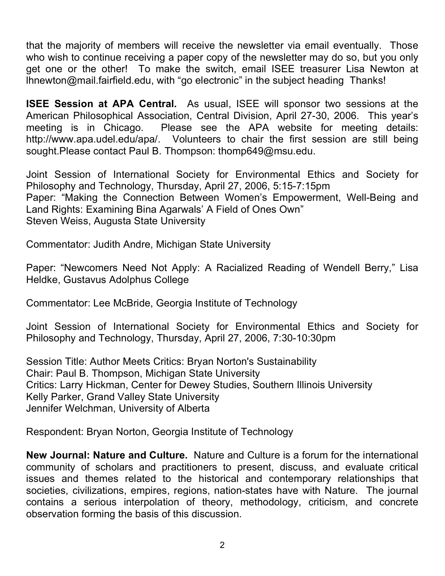that the majority of members will receive the newsletter via email eventually. Those who wish to continue receiving a paper copy of the newsletter may do so, but you only get one or the other! To make the switch, email ISEE treasurer Lisa Newton at lhnewton@mail.fairfield.edu, with "go electronic" in the subject heading Thanks!

**ISEE Session at APA Central.** As usual, ISEE will sponsor two sessions at the American Philosophical Association, Central Division, April 27-30, 2006. This year's meeting is in Chicago. Please see the APA website for meeting details: http://www.apa.udel.edu/apa/. Volunteers to chair the first session are still being sought.Please contact Paul B. Thompson: thomp649@msu.edu.

Joint Session of International Society for Environmental Ethics and Society for Philosophy and Technology, Thursday, April 27, 2006, 5:15-7:15pm Paper: "Making the Connection Between Women's Empowerment, Well-Being and Land Rights: Examining Bina Agarwals' A Field of Ones Own" Steven Weiss, Augusta State University

Commentator: Judith Andre, Michigan State University

Paper: "Newcomers Need Not Apply: A Racialized Reading of Wendell Berry," Lisa Heldke, Gustavus Adolphus College

Commentator: Lee McBride, Georgia Institute of Technology

Joint Session of International Society for Environmental Ethics and Society for Philosophy and Technology, Thursday, April 27, 2006, 7:30-10:30pm

Session Title: Author Meets Critics: Bryan Norton's Sustainability Chair: Paul B. Thompson, Michigan State University Critics: Larry Hickman, Center for Dewey Studies, Southern Illinois University Kelly Parker, Grand Valley State University Jennifer Welchman, University of Alberta

Respondent: Bryan Norton, Georgia Institute of Technology

**New Journal: Nature and Culture.** Nature and Culture is a forum for the international community of scholars and practitioners to present, discuss, and evaluate critical issues and themes related to the historical and contemporary relationships that societies, civilizations, empires, regions, nation-states have with Nature. The journal contains a serious interpolation of theory, methodology, criticism, and concrete observation forming the basis of this discussion.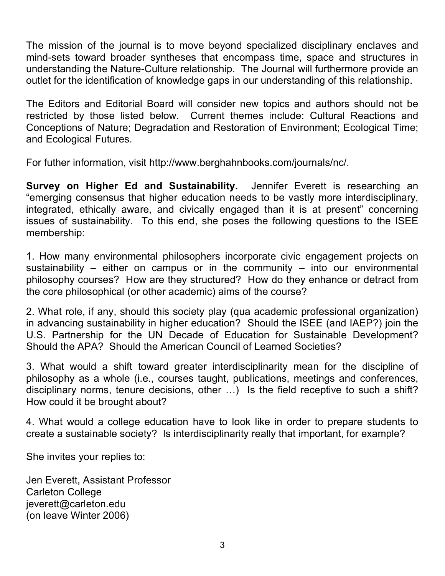The mission of the journal is to move beyond specialized disciplinary enclaves and mind-sets toward broader syntheses that encompass time, space and structures in understanding the Nature-Culture relationship. The Journal will furthermore provide an outlet for the identification of knowledge gaps in our understanding of this relationship.

The Editors and Editorial Board will consider new topics and authors should not be restricted by those listed below. Current themes include: Cultural Reactions and Conceptions of Nature; Degradation and Restoration of Environment; Ecological Time; and Ecological Futures.

For futher information, visit http://www.berghahnbooks.com/journals/nc/.

**Survey on Higher Ed and Sustainability.** Jennifer Everett is researching an "emerging consensus that higher education needs to be vastly more interdisciplinary, integrated, ethically aware, and civically engaged than it is at present" concerning issues of sustainability. To this end, she poses the following questions to the ISEE membership:

1. How many environmental philosophers incorporate civic engagement projects on sustainability – either on campus or in the community – into our environmental philosophy courses? How are they structured? How do they enhance or detract from the core philosophical (or other academic) aims of the course?

2. What role, if any, should this society play (qua academic professional organization) in advancing sustainability in higher education? Should the ISEE (and IAEP?) join the U.S. Partnership for the UN Decade of Education for Sustainable Development? Should the APA? Should the American Council of Learned Societies?

3. What would a shift toward greater interdisciplinarity mean for the discipline of philosophy as a whole (i.e., courses taught, publications, meetings and conferences, disciplinary norms, tenure decisions, other …) Is the field receptive to such a shift? How could it be brought about?

4. What would a college education have to look like in order to prepare students to create a sustainable society? Is interdisciplinarity really that important, for example?

She invites your replies to:

Jen Everett, Assistant Professor Carleton College jeverett@carleton.edu (on leave Winter 2006)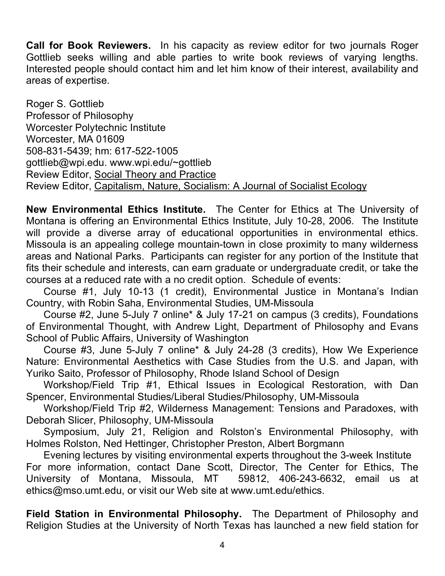**Call for Book Reviewers.** In his capacity as review editor for two journals Roger Gottlieb seeks willing and able parties to write book reviews of varying lengths. Interested people should contact him and let him know of their interest, availability and areas of expertise.

Roger S. Gottlieb Professor of Philosophy Worcester Polytechnic Institute Worcester, MA 01609 508-831-5439; hm: 617-522-1005 gottlieb@wpi.edu. www.wpi.edu/~gottlieb Review Editor, Social Theory and Practice Review Editor, Capitalism, Nature, Socialism: A Journal of Socialist Ecology

**New Environmental Ethics Institute.** The Center for Ethics at The University of Montana is offering an Environmental Ethics Institute, July 10-28, 2006. The Institute will provide a diverse array of educational opportunities in environmental ethics. Missoula is an appealing college mountain-town in close proximity to many wilderness areas and National Parks. Participants can register for any portion of the Institute that fits their schedule and interests, can earn graduate or undergraduate credit, or take the courses at a reduced rate with a no credit option. Schedule of events:

Course #1, July 10-13 (1 credit), Environmental Justice in Montana's Indian Country, with Robin Saha, Environmental Studies, UM-Missoula

Course #2, June 5-July 7 online\* & July 17-21 on campus (3 credits), Foundations of Environmental Thought, with Andrew Light, Department of Philosophy and Evans School of Public Affairs, University of Washington

Course #3, June 5-July 7 online\* & July 24-28 (3 credits), How We Experience Nature: Environmental Aesthetics with Case Studies from the U.S. and Japan, with Yuriko Saito, Professor of Philosophy, Rhode Island School of Design

Workshop/Field Trip #1, Ethical Issues in Ecological Restoration, with Dan Spencer, Environmental Studies/Liberal Studies/Philosophy, UM-Missoula

Workshop/Field Trip #2, Wilderness Management: Tensions and Paradoxes, with Deborah Slicer, Philosophy, UM-Missoula

Symposium, July 21, Religion and Rolston's Environmental Philosophy, with Holmes Rolston, Ned Hettinger, Christopher Preston, Albert Borgmann

Evening lectures by visiting environmental experts throughout the 3-week Institute For more information, contact Dane Scott, Director, The Center for Ethics, The University of Montana, Missoula, MT 59812, 406-243-6632, email us at ethics@mso.umt.edu, or visit our Web site at www.umt.edu/ethics.

**Field Station in Environmental Philosophy.** The Department of Philosophy and Religion Studies at the University of North Texas has launched a new field station for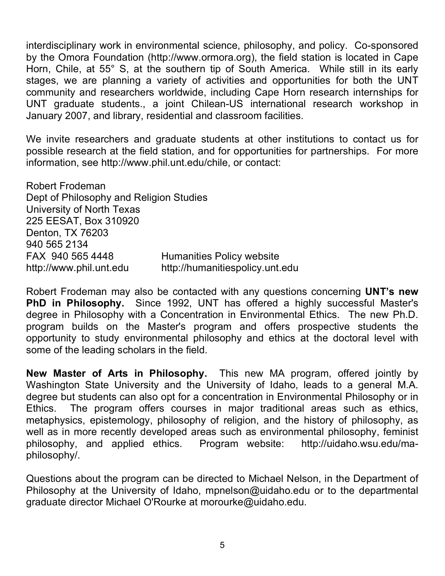interdisciplinary work in environmental science, philosophy, and policy. Co-sponsored by the Omora Foundation (http://www.ormora.org), the field station is located in Cape Horn, Chile, at 55° S, at the southern tip of South America. While still in its early stages, we are planning a variety of activities and opportunities for both the UNT community and researchers worldwide, including Cape Horn research internships for UNT graduate students., a joint Chilean-US international research workshop in January 2007, and library, residential and classroom facilities.

We invite researchers and graduate students at other institutions to contact us for possible research at the field station, and for opportunities for partnerships. For more information, see http://www.phil.unt.edu/chile, or contact:

Robert Frodeman Dept of Philosophy and Religion Studies University of North Texas 225 EESAT, Box 310920 Denton, TX 76203 940 565 2134 FAX 940 565 4448 Humanities Policy website http://www.phil.unt.edu http://humanitiespolicy.unt.edu

Robert Frodeman may also be contacted with any questions concerning **UNT's new PhD in Philosophy.** Since 1992, UNT has offered a highly successful Master's degree in Philosophy with a Concentration in Environmental Ethics. The new Ph.D. program builds on the Master's program and offers prospective students the opportunity to study environmental philosophy and ethics at the doctoral level with some of the leading scholars in the field.

**New Master of Arts in Philosophy.** This new MA program, offered jointly by Washington State University and the University of Idaho, leads to a general M.A. degree but students can also opt for a concentration in Environmental Philosophy or in Ethics. The program offers courses in major traditional areas such as ethics, metaphysics, epistemology, philosophy of religion, and the history of philosophy, as well as in more recently developed areas such as environmental philosophy, feminist philosophy, and applied ethics. Program website: http://uidaho.wsu.edu/maphilosophy/.

Questions about the program can be directed to Michael Nelson, in the Department of Philosophy at the University of Idaho, mpnelson@uidaho.edu or to the departmental graduate director Michael O'Rourke at morourke@uidaho.edu.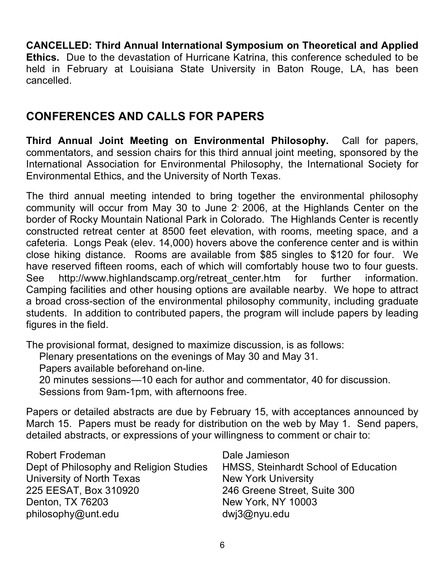**CANCELLED: Third Annual International Symposium on Theoretical and Applied Ethics.** Due to the devastation of Hurricane Katrina, this conference scheduled to be held in February at Louisiana State University in Baton Rouge, LA, has been cancelled.

# **CONFERENCES AND CALLS FOR PAPERS**

**Third Annual Joint Meeting on Environmental Philosophy.** Call for papers, commentators, and session chairs for this third annual joint meeting, sponsored by the International Association for Environmental Philosophy, the International Society for Environmental Ethics, and the University of North Texas.

The third annual meeting intended to bring together the environmental philosophy community will occur from May 30 to June 2 2006, at the Highlands Center on the border of Rocky Mountain National Park in Colorado. The Highlands Center is recently constructed retreat center at 8500 feet elevation, with rooms, meeting space, and a cafeteria. Longs Peak (elev. 14,000) hovers above the conference center and is within close hiking distance. Rooms are available from \$85 singles to \$120 for four. We have reserved fifteen rooms, each of which will comfortably house two to four guests. See http://www.highlandscamp.org/retreat center.htm for further information. Camping facilities and other housing options are available nearby. We hope to attract a broad cross-section of the environmental philosophy community, including graduate students. In addition to contributed papers, the program will include papers by leading figures in the field.

The provisional format, designed to maximize discussion, is as follows:

Plenary presentations on the evenings of May 30 and May 31.

Papers available beforehand on-line.

20 minutes sessions—10 each for author and commentator, 40 for discussion.

Sessions from 9am-1pm, with afternoons free.

Papers or detailed abstracts are due by February 15, with acceptances announced by March 15. Papers must be ready for distribution on the web by May 1. Send papers, detailed abstracts, or expressions of your willingness to comment or chair to:

| <b>Robert Frodeman</b>                  | Dale Jamieson                        |
|-----------------------------------------|--------------------------------------|
| Dept of Philosophy and Religion Studies | HMSS, Steinhardt School of Education |
| University of North Texas               | <b>New York University</b>           |
| 225 EESAT, Box 310920                   | 246 Greene Street, Suite 300         |
| Denton, TX 76203                        | New York, NY 10003                   |
| philosophy@unt.edu                      | dwj3@nyu.edu                         |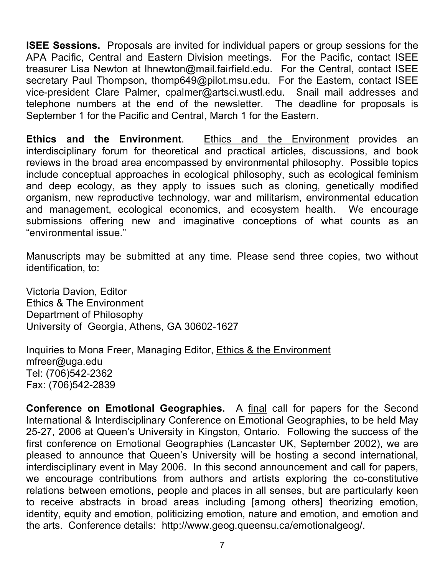**ISEE Sessions.** Proposals are invited for individual papers or group sessions for the APA Pacific, Central and Eastern Division meetings. For the Pacific, contact ISEE treasurer Lisa Newton at lhnewton@mail.fairfield.edu. For the Central, contact ISEE secretary Paul Thompson, thomp649@pilot.msu.edu. For the Eastern, contact ISEE vice-president Clare Palmer, cpalmer@artsci.wustl.edu. Snail mail addresses and telephone numbers at the end of the newsletter. The deadline for proposals is September 1 for the Pacific and Central, March 1 for the Eastern.

**Ethics and the Environment**. Ethics and the Environment provides an interdisciplinary forum for theoretical and practical articles, discussions, and book reviews in the broad area encompassed by environmental philosophy. Possible topics include conceptual approaches in ecological philosophy, such as ecological feminism and deep ecology, as they apply to issues such as cloning, genetically modified organism, new reproductive technology, war and militarism, environmental education and management, ecological economics, and ecosystem health. We encourage submissions offering new and imaginative conceptions of what counts as an "environmental issue."

Manuscripts may be submitted at any time. Please send three copies, two without identification, to:

Victoria Davion, Editor Ethics & The Environment Department of Philosophy University of Georgia, Athens, GA 30602-1627

Inquiries to Mona Freer, Managing Editor, Ethics & the Environment mfreer@uga.edu Tel: (706)542-2362 Fax: (706)542-2839

**Conference on Emotional Geographies.** A final call for papers for the Second International & Interdisciplinary Conference on Emotional Geographies, to be held May 25-27, 2006 at Queen's University in Kingston, Ontario. Following the success of the first conference on Emotional Geographies (Lancaster UK, September 2002), we are pleased to announce that Queen's University will be hosting a second international, interdisciplinary event in May 2006. In this second announcement and call for papers, we encourage contributions from authors and artists exploring the co-constitutive relations between emotions, people and places in all senses, but are particularly keen to receive abstracts in broad areas including [among others] theorizing emotion, identity, equity and emotion, politicizing emotion, nature and emotion, and emotion and the arts. Conference details: http://www.geog.queensu.ca/emotionalgeog/.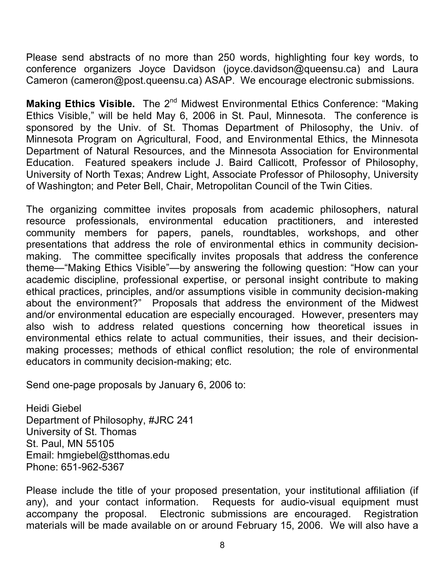Please send abstracts of no more than 250 words, highlighting four key words, to conference organizers Joyce Davidson (joyce.davidson@queensu.ca) and Laura Cameron (cameron@post.queensu.ca) ASAP. We encourage electronic submissions.

**Making Ethics Visible.** The 2<sup>nd</sup> Midwest Environmental Ethics Conference: "Making Ethics Visible," will be held May 6, 2006 in St. Paul, Minnesota. The conference is sponsored by the Univ. of St. Thomas Department of Philosophy, the Univ. of Minnesota Program on Agricultural, Food, and Environmental Ethics, the Minnesota Department of Natural Resources, and the Minnesota Association for Environmental Education. Featured speakers include J. Baird Callicott, Professor of Philosophy, University of North Texas; Andrew Light, Associate Professor of Philosophy, University of Washington; and Peter Bell, Chair, Metropolitan Council of the Twin Cities.

The organizing committee invites proposals from academic philosophers, natural resource professionals, environmental education practitioners, and interested community members for papers, panels, roundtables, workshops, and other presentations that address the role of environmental ethics in community decisionmaking. The committee specifically invites proposals that address the conference theme—"Making Ethics Visible"—by answering the following question: "How can your academic discipline, professional expertise, or personal insight contribute to making ethical practices, principles, and/or assumptions visible in community decision-making about the environment?" Proposals that address the environment of the Midwest and/or environmental education are especially encouraged. However, presenters may also wish to address related questions concerning how theoretical issues in environmental ethics relate to actual communities, their issues, and their decisionmaking processes; methods of ethical conflict resolution; the role of environmental educators in community decision-making; etc.

Send one-page proposals by January 6, 2006 to:

Heidi Giebel Department of Philosophy, #JRC 241 University of St. Thomas St. Paul, MN 55105 Email: hmgiebel@stthomas.edu Phone: 651-962-5367

Please include the title of your proposed presentation, your institutional affiliation (if any), and your contact information. Requests for audio-visual equipment must accompany the proposal. Electronic submissions are encouraged. Registration materials will be made available on or around February 15, 2006. We will also have a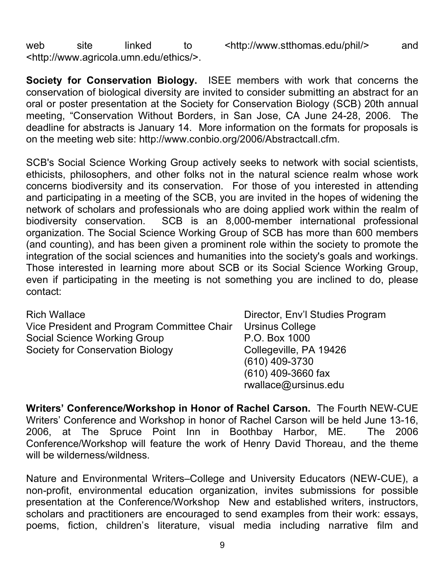web site linked to <http://www.stthomas.edu/phil/> and <http://www.agricola.umn.edu/ethics/>.

**Society for Conservation Biology.** ISEE members with work that concerns the conservation of biological diversity are invited to consider submitting an abstract for an oral or poster presentation at the Society for Conservation Biology (SCB) 20th annual meeting, "Conservation Without Borders, in San Jose, CA June 24-28, 2006. The deadline for abstracts is January 14. More information on the formats for proposals is on the meeting web site: http://www.conbio.org/2006/Abstractcall.cfm.

SCB's Social Science Working Group actively seeks to network with social scientists, ethicists, philosophers, and other folks not in the natural science realm whose work concerns biodiversity and its conservation. For those of you interested in attending and participating in a meeting of the SCB, you are invited in the hopes of widening the network of scholars and professionals who are doing applied work within the realm of biodiversity conservation. SCB is an 8,000-member international professional organization. The Social Science Working Group of SCB has more than 600 members (and counting), and has been given a prominent role within the society to promote the integration of the social sciences and humanities into the society's goals and workings. Those interested in learning more about SCB or its Social Science Working Group, even if participating in the meeting is not something you are inclined to do, please contact:

Rich Wallace **Director**, Env'l Studies Program Vice President and Program Committee Chair Ursinus College Social Science Working Group P.O. Box 1000 Society for Conservation Biology Collegeville, PA 19426

(610) 409-3730 (610) 409-3660 fax rwallace@ursinus.edu

**Writers' Conference/Workshop in Honor of Rachel Carson.** The Fourth NEW-CUE Writers' Conference and Workshop in honor of Rachel Carson will be held June 13-16, 2006, at The Spruce Point Inn in Boothbay Harbor, ME. The 2006 Conference/Workshop will feature the work of Henry David Thoreau, and the theme will be wilderness/wildness.

Nature and Environmental Writers–College and University Educators (NEW-CUE), a non-profit, environmental education organization, invites submissions for possible presentation at the Conference/Workshop New and established writers, instructors, scholars and practitioners are encouraged to send examples from their work: essays, poems, fiction, children's literature, visual media including narrative film and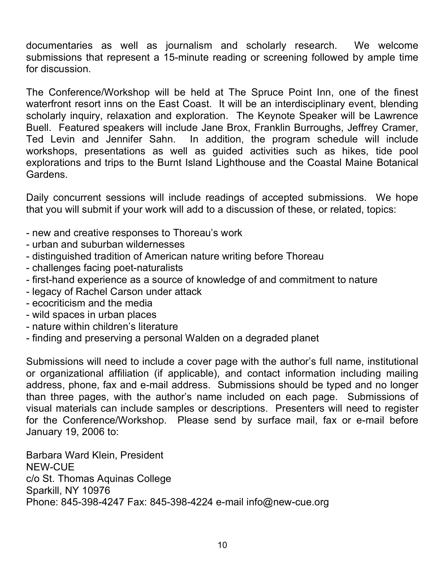documentaries as well as journalism and scholarly research. We welcome submissions that represent a 15-minute reading or screening followed by ample time for discussion.

The Conference/Workshop will be held at The Spruce Point Inn, one of the finest waterfront resort inns on the East Coast. It will be an interdisciplinary event, blending scholarly inquiry, relaxation and exploration. The Keynote Speaker will be Lawrence Buell. Featured speakers will include Jane Brox, Franklin Burroughs, Jeffrey Cramer, Ted Levin and Jennifer Sahn. In addition, the program schedule will include workshops, presentations as well as guided activities such as hikes, tide pool explorations and trips to the Burnt Island Lighthouse and the Coastal Maine Botanical Gardens.

Daily concurrent sessions will include readings of accepted submissions. We hope that you will submit if your work will add to a discussion of these, or related, topics:

- new and creative responses to Thoreau's work
- urban and suburban wildernesses
- distinguished tradition of American nature writing before Thoreau
- challenges facing poet-naturalists
- first-hand experience as a source of knowledge of and commitment to nature
- legacy of Rachel Carson under attack
- ecocriticism and the media
- wild spaces in urban places
- nature within children's literature
- finding and preserving a personal Walden on a degraded planet

Submissions will need to include a cover page with the author's full name, institutional or organizational affiliation (if applicable), and contact information including mailing address, phone, fax and e-mail address. Submissions should be typed and no longer than three pages, with the author's name included on each page. Submissions of visual materials can include samples or descriptions. Presenters will need to register for the Conference/Workshop. Please send by surface mail, fax or e-mail before January 19, 2006 to:

Barbara Ward Klein, President NEW-CUE c/o St. Thomas Aquinas College Sparkill, NY 10976 Phone: 845-398-4247 Fax: 845-398-4224 e-mail info@new-cue.org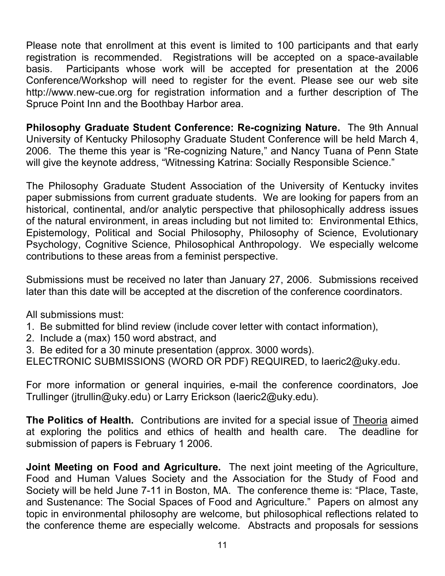Please note that enrollment at this event is limited to 100 participants and that early registration is recommended. Registrations will be accepted on a space-available basis. Participants whose work will be accepted for presentation at the 2006 Conference/Workshop will need to register for the event. Please see our web site http://www.new-cue.org for registration information and a further description of The Spruce Point Inn and the Boothbay Harbor area.

**Philosophy Graduate Student Conference: Re-cognizing Nature.** The 9th Annual University of Kentucky Philosophy Graduate Student Conference will be held March 4, 2006. The theme this year is "Re-cognizing Nature," and Nancy Tuana of Penn State will give the keynote address, "Witnessing Katrina: Socially Responsible Science."

The Philosophy Graduate Student Association of the University of Kentucky invites paper submissions from current graduate students. We are looking for papers from an historical, continental, and/or analytic perspective that philosophically address issues of the natural environment, in areas including but not limited to: Environmental Ethics, Epistemology, Political and Social Philosophy, Philosophy of Science, Evolutionary Psychology, Cognitive Science, Philosophical Anthropology. We especially welcome contributions to these areas from a feminist perspective.

Submissions must be received no later than January 27, 2006. Submissions received later than this date will be accepted at the discretion of the conference coordinators.

All submissions must:

- 1. Be submitted for blind review (include cover letter with contact information),
- 2. Include a (max) 150 word abstract, and
- 3. Be edited for a 30 minute presentation (approx. 3000 words).
- ELECTRONIC SUBMISSIONS (WORD OR PDF) REQUIRED, to laeric2@uky.edu.

For more information or general inquiries, e-mail the conference coordinators, Joe Trullinger (jtrullin@uky.edu) or Larry Erickson (laeric2@uky.edu).

**The Politics of Health.** Contributions are invited for a special issue of Theoria aimed at exploring the politics and ethics of health and health care. The deadline for submission of papers is February 1 2006.

**Joint Meeting on Food and Agriculture.** The next joint meeting of the Agriculture, Food and Human Values Society and the Association for the Study of Food and Society will be held June 7-11 in Boston, MA. The conference theme is: "Place, Taste, and Sustenance: The Social Spaces of Food and Agriculture." Papers on almost any topic in environmental philosophy are welcome, but philosophical reflections related to the conference theme are especially welcome. Abstracts and proposals for sessions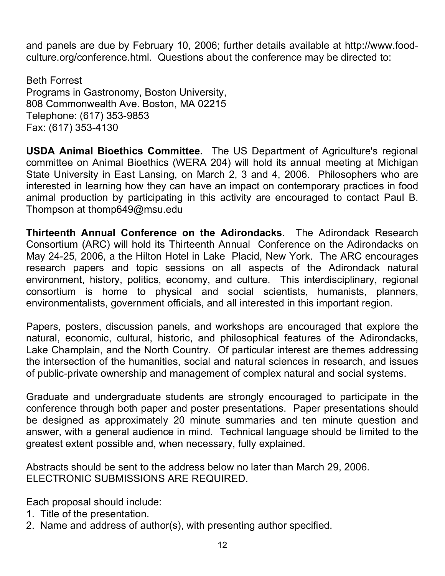and panels are due by February 10, 2006; further details available at http://www.foodculture.org/conference.html. Questions about the conference may be directed to:

Beth Forrest Programs in Gastronomy, Boston University, 808 Commonwealth Ave. Boston, MA 02215 Telephone: (617) 353-9853 Fax: (617) 353-4130

**USDA Animal Bioethics Committee.** The US Department of Agriculture's regional committee on Animal Bioethics (WERA 204) will hold its annual meeting at Michigan State University in East Lansing, on March 2, 3 and 4, 2006. Philosophers who are interested in learning how they can have an impact on contemporary practices in food animal production by participating in this activity are encouraged to contact Paul B. Thompson at thomp649@msu.edu

**Thirteenth Annual Conference on the Adirondacks**. The Adirondack Research Consortium (ARC) will hold its Thirteenth Annual Conference on the Adirondacks on May 24-25, 2006, a the Hilton Hotel in Lake Placid, New York. The ARC encourages research papers and topic sessions on all aspects of the Adirondack natural environment, history, politics, economy, and culture. This interdisciplinary, regional consortium is home to physical and social scientists, humanists, planners, environmentalists, government officials, and all interested in this important region.

Papers, posters, discussion panels, and workshops are encouraged that explore the natural, economic, cultural, historic, and philosophical features of the Adirondacks, Lake Champlain, and the North Country. Of particular interest are themes addressing the intersection of the humanities, social and natural sciences in research, and issues of public-private ownership and management of complex natural and social systems.

Graduate and undergraduate students are strongly encouraged to participate in the conference through both paper and poster presentations. Paper presentations should be designed as approximately 20 minute summaries and ten minute question and answer, with a general audience in mind. Technical language should be limited to the greatest extent possible and, when necessary, fully explained.

Abstracts should be sent to the address below no later than March 29, 2006. ELECTRONIC SUBMISSIONS ARE REQUIRED.

Each proposal should include:

- 1. Title of the presentation.
- 2. Name and address of author(s), with presenting author specified.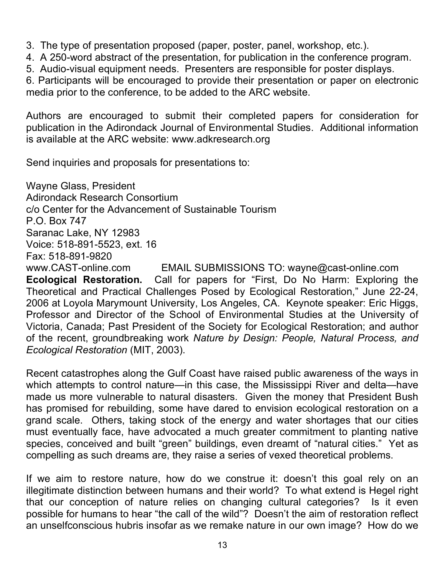- 3. The type of presentation proposed (paper, poster, panel, workshop, etc.).
- 4. A 250-word abstract of the presentation, for publication in the conference program.
- 5. Audio-visual equipment needs. Presenters are responsible for poster displays.

6. Participants will be encouraged to provide their presentation or paper on electronic media prior to the conference, to be added to the ARC website.

Authors are encouraged to submit their completed papers for consideration for publication in the Adirondack Journal of Environmental Studies. Additional information is available at the ARC website: www.adkresearch.org

Send inquiries and proposals for presentations to:

Wayne Glass, President Adirondack Research Consortium c/o Center for the Advancement of Sustainable Tourism P.O. Box 747 Saranac Lake, NY 12983 Voice: 518-891-5523, ext. 16 Fax: 518-891-9820 www.CAST-online.com EMAIL SUBMISSIONS TO: wayne@cast-online.com **Ecological Restoration.** Call for papers for "First, Do No Harm: Exploring the Theoretical and Practical Challenges Posed by Ecological Restoration," June 22-24, 2006 at Loyola Marymount University, Los Angeles, CA. Keynote speaker: Eric Higgs, Professor and Director of the School of Environmental Studies at the University of Victoria, Canada; Past President of the Society for Ecological Restoration; and author of the recent, groundbreaking work *Nature by Design: People, Natural Process, and Ecological Restoration* (MIT, 2003).

Recent catastrophes along the Gulf Coast have raised public awareness of the ways in which attempts to control nature—in this case, the Mississippi River and delta—have made us more vulnerable to natural disasters. Given the money that President Bush has promised for rebuilding, some have dared to envision ecological restoration on a grand scale. Others, taking stock of the energy and water shortages that our cities must eventually face, have advocated a much greater commitment to planting native species, conceived and built "green" buildings, even dreamt of "natural cities." Yet as compelling as such dreams are, they raise a series of vexed theoretical problems.

If we aim to restore nature, how do we construe it: doesn't this goal rely on an illegitimate distinction between humans and their world? To what extend is Hegel right that our conception of nature relies on changing cultural categories? Is it even possible for humans to hear "the call of the wild"? Doesn't the aim of restoration reflect an unselfconscious hubris insofar as we remake nature in our own image? How do we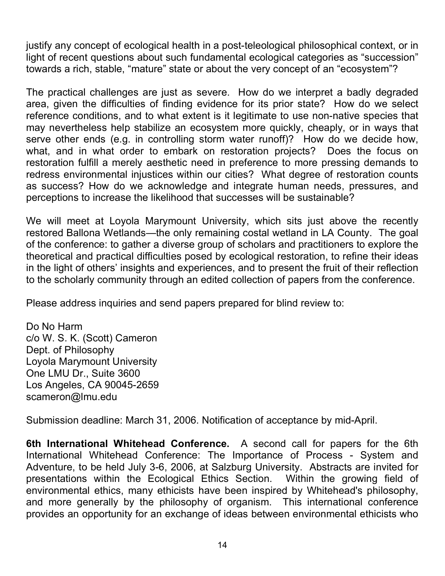justify any concept of ecological health in a post-teleological philosophical context, or in light of recent questions about such fundamental ecological categories as "succession" towards a rich, stable, "mature" state or about the very concept of an "ecosystem"?

The practical challenges are just as severe. How do we interpret a badly degraded area, given the difficulties of finding evidence for its prior state? How do we select reference conditions, and to what extent is it legitimate to use non-native species that may nevertheless help stabilize an ecosystem more quickly, cheaply, or in ways that serve other ends (e.g. in controlling storm water runoff)? How do we decide how, what, and in what order to embark on restoration projects? Does the focus on restoration fulfill a merely aesthetic need in preference to more pressing demands to redress environmental injustices within our cities? What degree of restoration counts as success? How do we acknowledge and integrate human needs, pressures, and perceptions to increase the likelihood that successes will be sustainable?

We will meet at Loyola Marymount University, which sits just above the recently restored Ballona Wetlands—the only remaining costal wetland in LA County. The goal of the conference: to gather a diverse group of scholars and practitioners to explore the theoretical and practical difficulties posed by ecological restoration, to refine their ideas in the light of others' insights and experiences, and to present the fruit of their reflection to the scholarly community through an edited collection of papers from the conference.

Please address inquiries and send papers prepared for blind review to:

Do No Harm c/o W. S. K. (Scott) Cameron Dept. of Philosophy Loyola Marymount University One LMU Dr., Suite 3600 Los Angeles, CA 90045-2659 scameron@lmu.edu

Submission deadline: March 31, 2006. Notification of acceptance by mid-April.

**6th International Whitehead Conference.** A second call for papers for the 6th International Whitehead Conference: The Importance of Process - System and Adventure, to be held July 3-6, 2006, at Salzburg University. Abstracts are invited for presentations within the Ecological Ethics Section. Within the growing field of environmental ethics, many ethicists have been inspired by Whitehead's philosophy, and more generally by the philosophy of organism. This international conference provides an opportunity for an exchange of ideas between environmental ethicists who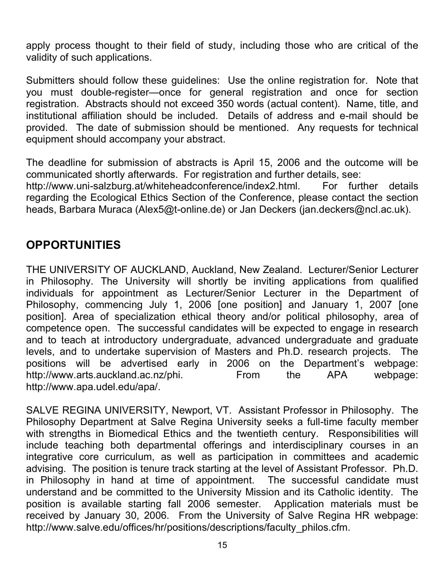apply process thought to their field of study, including those who are critical of the validity of such applications.

Submitters should follow these guidelines: Use the online registration for. Note that you must double-register—once for general registration and once for section registration. Abstracts should not exceed 350 words (actual content). Name, title, and institutional affiliation should be included. Details of address and e-mail should be provided. The date of submission should be mentioned. Any requests for technical equipment should accompany your abstract.

The deadline for submission of abstracts is April 15, 2006 and the outcome will be communicated shortly afterwards. For registration and further details, see: http://www.uni-salzburg.at/whiteheadconference/index2.html. For further details regarding the Ecological Ethics Section of the Conference, please contact the section heads, Barbara Muraca (Alex5@t-online.de) or Jan Deckers (jan.deckers@ncl.ac.uk).

## **OPPORTUNITIES**

THE UNIVERSITY OF AUCKLAND, Auckland, New Zealand. Lecturer/Senior Lecturer in Philosophy. The University will shortly be inviting applications from qualified individuals for appointment as Lecturer/Senior Lecturer in the Department of Philosophy, commencing July 1, 2006 [one position] and January 1, 2007 [one position]. Area of specialization ethical theory and/or political philosophy, area of competence open. The successful candidates will be expected to engage in research and to teach at introductory undergraduate, advanced undergraduate and graduate levels, and to undertake supervision of Masters and Ph.D. research projects. The positions will be advertised early in 2006 on the Department's webpage: http://www.arts.auckland.ac.nz/phi. From the APA webpage: http://www.apa.udel.edu/apa/.

SALVE REGINA UNIVERSITY, Newport, VT. Assistant Professor in Philosophy. The Philosophy Department at Salve Regina University seeks a full-time faculty member with strengths in Biomedical Ethics and the twentieth century. Responsibilities will include teaching both departmental offerings and interdisciplinary courses in an integrative core curriculum, as well as participation in committees and academic advising. The position is tenure track starting at the level of Assistant Professor. Ph.D. in Philosophy in hand at time of appointment. The successful candidate must understand and be committed to the University Mission and its Catholic identity. The position is available starting fall 2006 semester. Application materials must be received by January 30, 2006. From the University of Salve Regina HR webpage: http://www.salve.edu/offices/hr/positions/descriptions/faculty\_philos.cfm.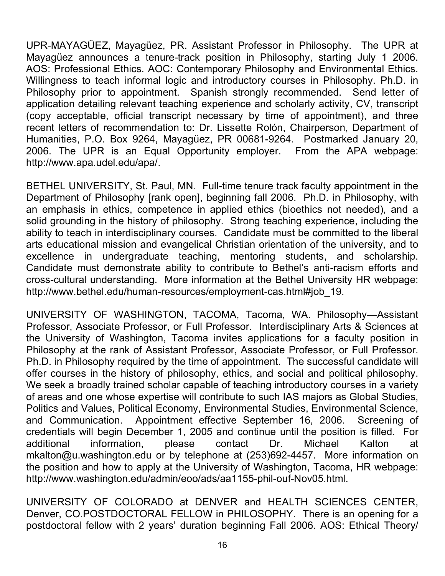UPR-MAYAGÜEZ, Mayagüez, PR. Assistant Professor in Philosophy. The UPR at Mayagüez announces a tenure-track position in Philosophy, starting July 1 2006. AOS: Professional Ethics. AOC: Contemporary Philosophy and Environmental Ethics. Willingness to teach informal logic and introductory courses in Philosophy. Ph.D. in Philosophy prior to appointment. Spanish strongly recommended. Send letter of application detailing relevant teaching experience and scholarly activity, CV, transcript (copy acceptable, official transcript necessary by time of appointment), and three recent letters of recommendation to: Dr. Lissette Rolón, Chairperson, Department of Humanities, P.O. Box 9264, Mayagüez, PR 00681-9264. Postmarked January 20, 2006. The UPR is an Equal Opportunity employer. From the APA webpage: http://www.apa.udel.edu/apa/.

BETHEL UNIVERSITY, St. Paul, MN. Full-time tenure track faculty appointment in the Department of Philosophy [rank open], beginning fall 2006. Ph.D. in Philosophy, with an emphasis in ethics, competence in applied ethics (bioethics not needed), and a solid grounding in the history of philosophy. Strong teaching experience, including the ability to teach in interdisciplinary courses. Candidate must be committed to the liberal arts educational mission and evangelical Christian orientation of the university, and to excellence in undergraduate teaching, mentoring students, and scholarship. Candidate must demonstrate ability to contribute to Bethel's anti-racism efforts and cross-cultural understanding. More information at the Bethel University HR webpage: http://www.bethel.edu/human-resources/employment-cas.html#job\_19.

UNIVERSITY OF WASHINGTON, TACOMA, Tacoma, WA. Philosophy—Assistant Professor, Associate Professor, or Full Professor. Interdisciplinary Arts & Sciences at the University of Washington, Tacoma invites applications for a faculty position in Philosophy at the rank of Assistant Professor, Associate Professor, or Full Professor. Ph.D. in Philosophy required by the time of appointment. The successful candidate will offer courses in the history of philosophy, ethics, and social and political philosophy. We seek a broadly trained scholar capable of teaching introductory courses in a variety of areas and one whose expertise will contribute to such IAS majors as Global Studies, Politics and Values, Political Economy, Environmental Studies, Environmental Science, and Communication. Appointment effective September 16, 2006. Screening of credentials will begin December 1, 2005 and continue until the position is filled. For additional information, please contact Dr. Michael Kalton at mkalton@u.washington.edu or by telephone at (253)692-4457. More information on the position and how to apply at the University of Washington, Tacoma, HR webpage: http://www.washington.edu/admin/eoo/ads/aa1155-phil-ouf-Nov05.html.

UNIVERSITY OF COLORADO at DENVER and HEALTH SCIENCES CENTER, Denver, CO.POSTDOCTORAL FELLOW in PHILOSOPHY. There is an opening for a postdoctoral fellow with 2 years' duration beginning Fall 2006. AOS: Ethical Theory/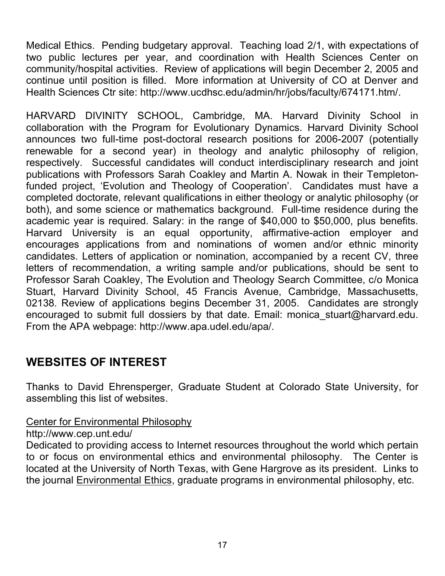Medical Ethics. Pending budgetary approval. Teaching load 2/1, with expectations of two public lectures per year, and coordination with Health Sciences Center on community/hospital activities. Review of applications will begin December 2, 2005 and continue until position is filled. More information at University of CO at Denver and Health Sciences Ctr site: http://www.ucdhsc.edu/admin/hr/jobs/faculty/674171.htm/.

HARVARD DIVINITY SCHOOL, Cambridge, MA. Harvard Divinity School in collaboration with the Program for Evolutionary Dynamics. Harvard Divinity School announces two full-time post-doctoral research positions for 2006-2007 (potentially renewable for a second year) in theology and analytic philosophy of religion, respectively. Successful candidates will conduct interdisciplinary research and joint publications with Professors Sarah Coakley and Martin A. Nowak in their Templetonfunded project, 'Evolution and Theology of Cooperation'. Candidates must have a completed doctorate, relevant qualifications in either theology or analytic philosophy (or both), and some science or mathematics background. Full-time residence during the academic year is required. Salary: in the range of \$40,000 to \$50,000, plus benefits. Harvard University is an equal opportunity, affirmative-action employer and encourages applications from and nominations of women and/or ethnic minority candidates. Letters of application or nomination, accompanied by a recent CV, three letters of recommendation, a writing sample and/or publications, should be sent to Professor Sarah Coakley, The Evolution and Theology Search Committee, c/o Monica Stuart, Harvard Divinity School, 45 Francis Avenue, Cambridge, Massachusetts, 02138. Review of applications begins December 31, 2005. Candidates are strongly encouraged to submit full dossiers by that date. Email: monica\_stuart@harvard.edu. From the APA webpage: http://www.apa.udel.edu/apa/.

## **WEBSITES OF INTEREST**

Thanks to David Ehrensperger, Graduate Student at Colorado State University, for assembling this list of websites.

#### Center for Environmental Philosophy

#### http://www.cep.unt.edu/

Dedicated to providing access to Internet resources throughout the world which pertain to or focus on environmental ethics and environmental philosophy. The Center is located at the University of North Texas, with Gene Hargrove as its president. Links to the journal Environmental Ethics, graduate programs in environmental philosophy, etc.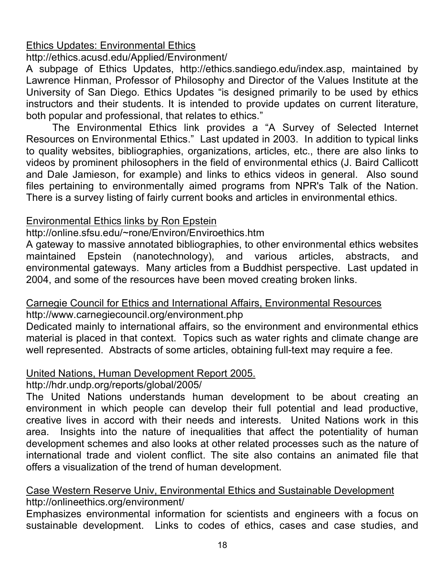## Ethics Updates: Environmental Ethics

#### http://ethics.acusd.edu/Applied/Environment/

A subpage of Ethics Updates, http://ethics.sandiego.edu/index.asp, maintained by Lawrence Hinman, Professor of Philosophy and Director of the Values Institute at the University of San Diego. Ethics Updates "is designed primarily to be used by ethics instructors and their students. It is intended to provide updates on current literature, both popular and professional, that relates to ethics."

The Environmental Ethics link provides a "A Survey of Selected Internet Resources on Environmental Ethics." Last updated in 2003. In addition to typical links to quality websites, bibliographies, organizations, articles, etc., there are also links to videos by prominent philosophers in the field of environmental ethics (J. Baird Callicott and Dale Jamieson, for example) and links to ethics videos in general. Also sound files pertaining to environmentally aimed programs from NPR's Talk of the Nation. There is a survey listing of fairly current books and articles in environmental ethics.

### Environmental Ethics links by Ron Epstein

#### http://online.sfsu.edu/~rone/Environ/Enviroethics.htm

A gateway to massive annotated bibliographies, to other environmental ethics websites maintained Epstein (nanotechnology), and various articles, abstracts, and environmental gateways. Many articles from a Buddhist perspective. Last updated in 2004, and some of the resources have been moved creating broken links.

#### Carnegie Council for Ethics and International Affairs, Environmental Resources http://www.carnegiecouncil.org/environment.php

Dedicated mainly to international affairs, so the environment and environmental ethics material is placed in that context. Topics such as water rights and climate change are well represented. Abstracts of some articles, obtaining full-text may require a fee.

#### United Nations, Human Development Report 2005.

### http://hdr.undp.org/reports/global/2005/

The United Nations understands human development to be about creating an environment in which people can develop their full potential and lead productive, creative lives in accord with their needs and interests. United Nations work in this area. Insights into the nature of inequalities that affect the potentiality of human development schemes and also looks at other related processes such as the nature of international trade and violent conflict. The site also contains an animated file that offers a visualization of the trend of human development.

#### Case Western Reserve Univ, Environmental Ethics and Sustainable Development http://onlineethics.org/environment/

Emphasizes environmental information for scientists and engineers with a focus on sustainable development. Links to codes of ethics, cases and case studies, and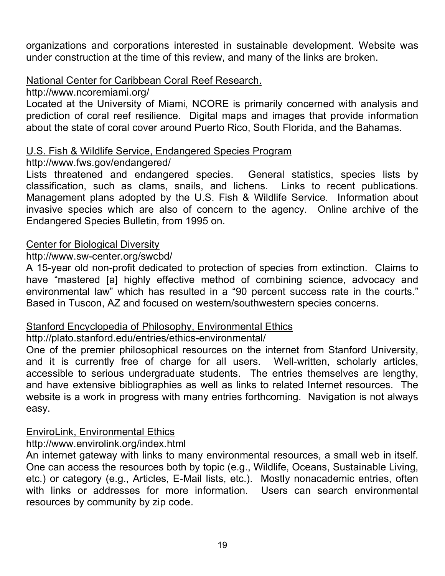organizations and corporations interested in sustainable development. Website was under construction at the time of this review, and many of the links are broken.

### National Center for Caribbean Coral Reef Research.

http://www.ncoremiami.org/

Located at the University of Miami, NCORE is primarily concerned with analysis and prediction of coral reef resilience. Digital maps and images that provide information about the state of coral cover around Puerto Rico, South Florida, and the Bahamas.

#### U.S. Fish & Wildlife Service, Endangered Species Program

#### http://www.fws.gov/endangered/

Lists threatened and endangered species. General statistics, species lists by classification, such as clams, snails, and lichens. Links to recent publications. Management plans adopted by the U.S. Fish & Wildlife Service. Information about invasive species which are also of concern to the agency. Online archive of the Endangered Species Bulletin, from 1995 on.

#### Center for Biological Diversity

#### http://www.sw-center.org/swcbd/

A 15-year old non-profit dedicated to protection of species from extinction. Claims to have "mastered [a] highly effective method of combining science, advocacy and environmental law" which has resulted in a "90 percent success rate in the courts." Based in Tuscon, AZ and focused on western/southwestern species concerns.

#### Stanford Encyclopedia of Philosophy, Environmental Ethics

### http://plato.stanford.edu/entries/ethics-environmental/

One of the premier philosophical resources on the internet from Stanford University, and it is currently free of charge for all users. Well-written, scholarly articles, accessible to serious undergraduate students. The entries themselves are lengthy, and have extensive bibliographies as well as links to related Internet resources. The website is a work in progress with many entries forthcoming. Navigation is not always easy.

#### EnviroLink, Environmental Ethics

http://www.envirolink.org/index.html

An internet gateway with links to many environmental resources, a small web in itself. One can access the resources both by topic (e.g., Wildlife, Oceans, Sustainable Living, etc.) or category (e.g., Articles, E-Mail lists, etc.). Mostly nonacademic entries, often with links or addresses for more information. Users can search environmental resources by community by zip code.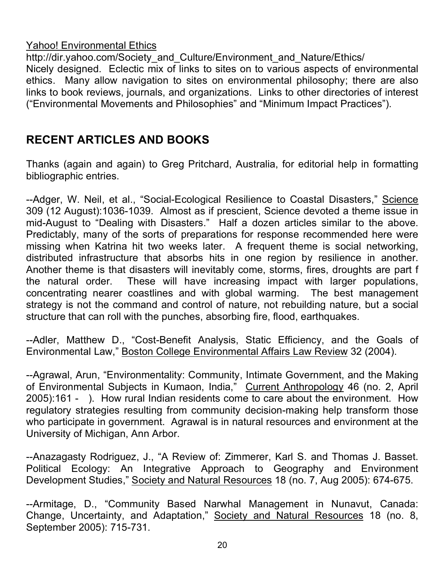#### Yahoo! Environmental Ethics

http://dir.yahoo.com/Society\_and\_Culture/Environment\_and\_Nature/Ethics/ Nicely designed. Eclectic mix of links to sites on to various aspects of environmental ethics. Many allow navigation to sites on environmental philosophy; there are also links to book reviews, journals, and organizations. Links to other directories of interest ("Environmental Movements and Philosophies" and "Minimum Impact Practices").

# **RECENT ARTICLES AND BOOKS**

Thanks (again and again) to Greg Pritchard, Australia, for editorial help in formatting bibliographic entries.

--Adger, W. Neil, et al., "Social-Ecological Resilience to Coastal Disasters," Science 309 (12 August):1036-1039. Almost as if prescient, Science devoted a theme issue in mid-August to "Dealing with Disasters." Half a dozen articles similar to the above. Predictably, many of the sorts of preparations for response recommended here were missing when Katrina hit two weeks later. A frequent theme is social networking, distributed infrastructure that absorbs hits in one region by resilience in another. Another theme is that disasters will inevitably come, storms, fires, droughts are part f the natural order. These will have increasing impact with larger populations, concentrating nearer coastlines and with global warming. The best management strategy is not the command and control of nature, not rebuilding nature, but a social structure that can roll with the punches, absorbing fire, flood, earthquakes.

--Adler, Matthew D., "Cost-Benefit Analysis, Static Efficiency, and the Goals of Environmental Law," Boston College Environmental Affairs Law Review 32 (2004).

--Agrawal, Arun, "Environmentality: Community, Intimate Government, and the Making of Environmental Subjects in Kumaon, India," Current Anthropology 46 (no. 2, April 2005):161 - ). How rural Indian residents come to care about the environment. How regulatory strategies resulting from community decision-making help transform those who participate in government. Agrawal is in natural resources and environment at the University of Michigan, Ann Arbor.

--Anazagasty Rodriguez, J., "A Review of: Zimmerer, Karl S. and Thomas J. Basset. Political Ecology: An Integrative Approach to Geography and Environment Development Studies," Society and Natural Resources 18 (no. 7, Aug 2005): 674-675.

--Armitage, D., "Community Based Narwhal Management in Nunavut, Canada: Change, Uncertainty, and Adaptation," Society and Natural Resources 18 (no. 8, September 2005): 715-731.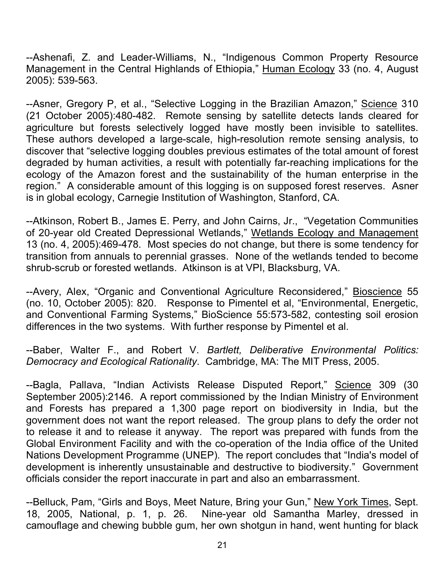--Ashenafi, Z. and Leader-Williams, N., "Indigenous Common Property Resource Management in the Central Highlands of Ethiopia," Human Ecology 33 (no. 4, August 2005): 539-563.

--Asner, Gregory P, et al., "Selective Logging in the Brazilian Amazon," Science 310 (21 October 2005):480-482. Remote sensing by satellite detects lands cleared for agriculture but forests selectively logged have mostly been invisible to satellites. These authors developed a large-scale, high-resolution remote sensing analysis, to discover that "selective logging doubles previous estimates of the total amount of forest degraded by human activities, a result with potentially far-reaching implications for the ecology of the Amazon forest and the sustainability of the human enterprise in the region." A considerable amount of this logging is on supposed forest reserves. Asner is in global ecology, Carnegie Institution of Washington, Stanford, CA.

--Atkinson, Robert B., James E. Perry, and John Cairns, Jr., "Vegetation Communities of 20-year old Created Depressional Wetlands," Wetlands Ecology and Management 13 (no. 4, 2005):469-478. Most species do not change, but there is some tendency for transition from annuals to perennial grasses. None of the wetlands tended to become shrub-scrub or forested wetlands. Atkinson is at VPI, Blacksburg, VA.

--Avery, Alex, "Organic and Conventional Agriculture Reconsidered," Bioscience 55 (no. 10, October 2005): 820. Response to Pimentel et al, "Environmental, Energetic, and Conventional Farming Systems," BioScience 55:573-582, contesting soil erosion differences in the two systems. With further response by Pimentel et al.

--Baber, Walter F., and Robert V. *Bartlett, Deliberative Environmental Politics: Democracy and Ecological Rationality*. Cambridge, MA: The MIT Press, 2005.

-Bagla, Pallava, "Indian Activists Release Disputed Report," Science 309 (30 September 2005):2146. A report commissioned by the Indian Ministry of Environment and Forests has prepared a 1,300 page report on biodiversity in India, but the government does not want the report released. The group plans to defy the order not to release it and to release it anyway. The report was prepared with funds from the Global Environment Facility and with the co-operation of the India office of the United Nations Development Programme (UNEP). The report concludes that "India's model of development is inherently unsustainable and destructive to biodiversity." Government officials consider the report inaccurate in part and also an embarrassment.

--Belluck, Pam, "Girls and Boys, Meet Nature, Bring your Gun," New York Times, Sept. 18, 2005, National, p. 1, p. 26. Nine-year old Samantha Marley, dressed in camouflage and chewing bubble gum, her own shotgun in hand, went hunting for black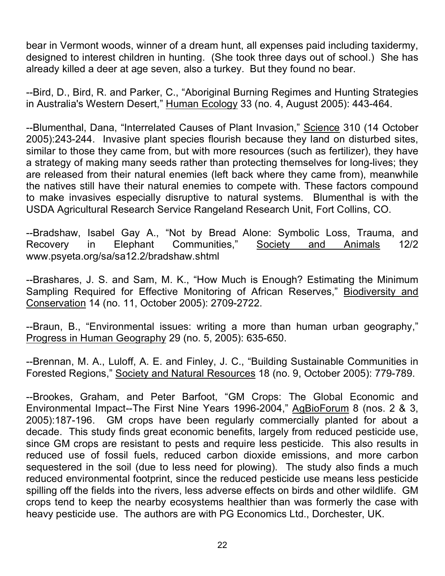bear in Vermont woods, winner of a dream hunt, all expenses paid including taxidermy, designed to interest children in hunting. (She took three days out of school.) She has already killed a deer at age seven, also a turkey. But they found no bear.

--Bird, D., Bird, R. and Parker, C., "Aboriginal Burning Regimes and Hunting Strategies in Australia's Western Desert," Human Ecology 33 (no. 4, August 2005): 443-464.

--Blumenthal, Dana, "Interrelated Causes of Plant Invasion," Science 310 (14 October 2005):243-244. Invasive plant species flourish because they land on disturbed sites, similar to those they came from, but with more resources (such as fertilizer), they have a strategy of making many seeds rather than protecting themselves for long-lives; they are released from their natural enemies (left back where they came from), meanwhile the natives still have their natural enemies to compete with. These factors compound to make invasives especially disruptive to natural systems. Blumenthal is with the USDA Agricultural Research Service Rangeland Research Unit, Fort Collins, CO.

--Bradshaw, Isabel Gay A., "Not by Bread Alone: Symbolic Loss, Trauma, and Recovery in Elephant Communities," Society and Animals 12/2 www.psyeta.org/sa/sa12.2/bradshaw.shtml

--Brashares, J. S. and Sam, M. K., "How Much is Enough? Estimating the Minimum Sampling Required for Effective Monitoring of African Reserves," Biodiversity and Conservation 14 (no. 11, October 2005): 2709-2722.

--Braun, B., "Environmental issues: writing a more than human urban geography," Progress in Human Geography 29 (no. 5, 2005): 635-650.

--Brennan, M. A., Luloff, A. E. and Finley, J. C., "Building Sustainable Communities in Forested Regions," Society and Natural Resources 18 (no. 9, October 2005): 779-789.

--Brookes, Graham, and Peter Barfoot, "GM Crops: The Global Economic and Environmental Impact--The First Nine Years 1996-2004," AgBioForum 8 (nos. 2 & 3, 2005):187-196. GM crops have been regularly commercially planted for about a decade. This study finds great economic benefits, largely from reduced pesticide use, since GM crops are resistant to pests and require less pesticide. This also results in reduced use of fossil fuels, reduced carbon dioxide emissions, and more carbon sequestered in the soil (due to less need for plowing). The study also finds a much reduced environmental footprint, since the reduced pesticide use means less pesticide spilling off the fields into the rivers, less adverse effects on birds and other wildlife. GM crops tend to keep the nearby ecosystems healthier than was formerly the case with heavy pesticide use. The authors are with PG Economics Ltd., Dorchester, UK.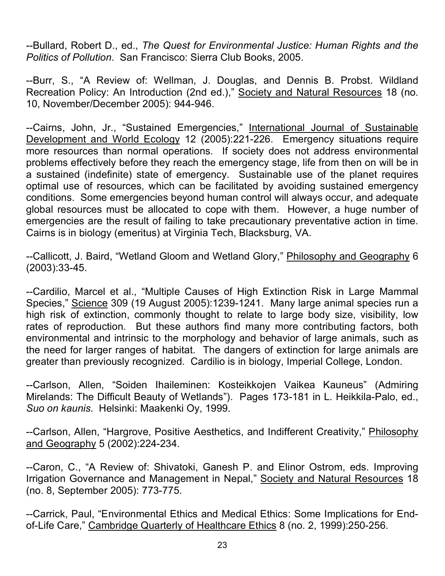--Bullard, Robert D., ed., *The Quest for Environmental Justice: Human Rights and the Politics of Pollution*. San Francisco: Sierra Club Books, 2005.

--Burr, S., "A Review of: Wellman, J. Douglas, and Dennis B. Probst. Wildland Recreation Policy: An Introduction (2nd ed.)," Society and Natural Resources 18 (no. 10, November/December 2005): 944-946.

--Cairns, John, Jr., "Sustained Emergencies," International Journal of Sustainable Development and World Ecology 12 (2005):221-226. Emergency situations require more resources than normal operations. If society does not address environmental problems effectively before they reach the emergency stage, life from then on will be in a sustained (indefinite) state of emergency. Sustainable use of the planet requires optimal use of resources, which can be facilitated by avoiding sustained emergency conditions. Some emergencies beyond human control will always occur, and adequate global resources must be allocated to cope with them. However, a huge number of emergencies are the result of failing to take precautionary preventative action in time. Cairns is in biology (emeritus) at Virginia Tech, Blacksburg, VA.

--Callicott, J. Baird, "Wetland Gloom and Wetland Glory," Philosophy and Geography 6 (2003):33-45.

--Cardilio, Marcel et al., "Multiple Causes of High Extinction Risk in Large Mammal Species," Science 309 (19 August 2005):1239-1241. Many large animal species run a high risk of extinction, commonly thought to relate to large body size, visibility, low rates of reproduction. But these authors find many more contributing factors, both environmental and intrinsic to the morphology and behavior of large animals, such as the need for larger ranges of habitat. The dangers of extinction for large animals are greater than previously recognized. Cardilio is in biology, Imperial College, London.

--Carlson, Allen, "Soiden Ihaileminen: Kosteikkojen Vaikea Kauneus" (Admiring Mirelands: The Difficult Beauty of Wetlands"). Pages 173-181 in L. Heikkila-Palo, ed., *Suo on kaunis*. Helsinki: Maakenki Oy, 1999.

--Carlson, Allen, "Hargrove, Positive Aesthetics, and Indifferent Creativity," Philosophy and Geography 5 (2002):224-234.

--Caron, C., "A Review of: Shivatoki, Ganesh P. and Elinor Ostrom, eds. Improving Irrigation Governance and Management in Nepal," Society and Natural Resources 18 (no. 8, September 2005): 773-775.

--Carrick, Paul, "Environmental Ethics and Medical Ethics: Some Implications for Endof-Life Care," Cambridge Quarterly of Healthcare Ethics 8 (no. 2, 1999):250-256.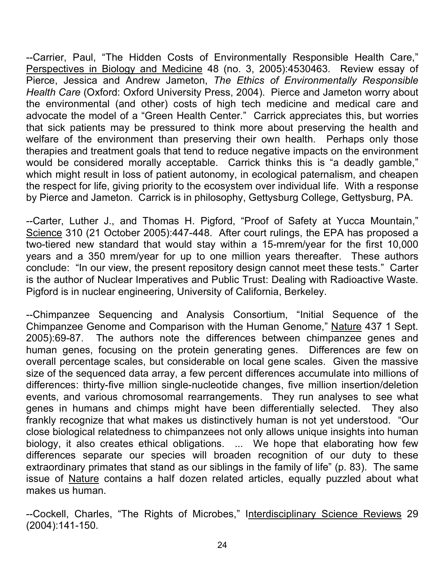--Carrier, Paul, "The Hidden Costs of Environmentally Responsible Health Care," Perspectives in Biology and Medicine 48 (no. 3, 2005):4530463. Review essay of Pierce, Jessica and Andrew Jameton, *The Ethics of Environmentally Responsible Health Care* (Oxford: Oxford University Press, 2004). Pierce and Jameton worry about the environmental (and other) costs of high tech medicine and medical care and advocate the model of a "Green Health Center." Carrick appreciates this, but worries that sick patients may be pressured to think more about preserving the health and welfare of the environment than preserving their own health. Perhaps only those therapies and treatment goals that tend to reduce negative impacts on the environment would be considered morally acceptable. Carrick thinks this is "a deadly gamble," which might result in loss of patient autonomy, in ecological paternalism, and cheapen the respect for life, giving priority to the ecosystem over individual life. With a response by Pierce and Jameton. Carrick is in philosophy, Gettysburg College, Gettysburg, PA.

--Carter, Luther J., and Thomas H. Pigford, "Proof of Safety at Yucca Mountain," Science 310 (21 October 2005):447-448. After court rulings, the EPA has proposed a two-tiered new standard that would stay within a 15-mrem/year for the first 10,000 years and a 350 mrem/year for up to one million years thereafter. These authors conclude: "In our view, the present repository design cannot meet these tests." Carter is the author of Nuclear Imperatives and Public Trust: Dealing with Radioactive Waste. Pigford is in nuclear engineering, University of California, Berkeley.

--Chimpanzee Sequencing and Analysis Consortium, "Initial Sequence of the Chimpanzee Genome and Comparison with the Human Genome," Nature 437 1 Sept. 2005):69-87. The authors note the differences between chimpanzee genes and human genes, focusing on the protein generating genes. Differences are few on overall percentage scales, but considerable on local gene scales. Given the massive size of the sequenced data array, a few percent differences accumulate into millions of differences: thirty-five million single-nucleotide changes, five million insertion/deletion events, and various chromosomal rearrangements. They run analyses to see what genes in humans and chimps might have been differentially selected. They also frankly recognize that what makes us distinctively human is not yet understood. "Our close biological relatedness to chimpanzees not only allows unique insights into human biology, it also creates ethical obligations. ... We hope that elaborating how few differences separate our species will broaden recognition of our duty to these extraordinary primates that stand as our siblings in the family of life" (p. 83). The same issue of Nature contains a half dozen related articles, equally puzzled about what makes us human.

--Cockell, Charles, "The Rights of Microbes," Interdisciplinary Science Reviews 29 (2004):141-150.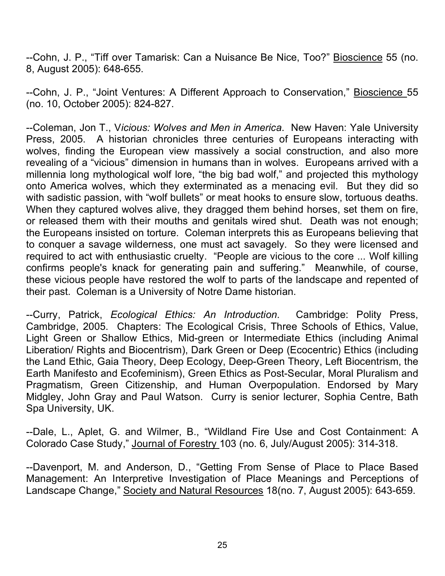--Cohn, J. P., "Tiff over Tamarisk: Can a Nuisance Be Nice, Too?" Bioscience 55 (no. 8, August 2005): 648-655.

--Cohn, J. P., "Joint Ventures: A Different Approach to Conservation," Bioscience 55 (no. 10, October 2005): 824-827.

--Coleman, Jon T., V*icious: Wolves and Men in America*. New Haven: Yale University Press, 2005. A historian chronicles three centuries of Europeans interacting with wolves, finding the European view massively a social construction, and also more revealing of a "vicious" dimension in humans than in wolves. Europeans arrived with a millennia long mythological wolf lore, "the big bad wolf," and projected this mythology onto America wolves, which they exterminated as a menacing evil. But they did so with sadistic passion, with "wolf bullets" or meat hooks to ensure slow, tortuous deaths. When they captured wolves alive, they dragged them behind horses, set them on fire, or released them with their mouths and genitals wired shut. Death was not enough; the Europeans insisted on torture. Coleman interprets this as Europeans believing that to conquer a savage wilderness, one must act savagely. So they were licensed and required to act with enthusiastic cruelty. "People are vicious to the core ... Wolf killing confirms people's knack for generating pain and suffering." Meanwhile, of course, these vicious people have restored the wolf to parts of the landscape and repented of their past. Coleman is a University of Notre Dame historian.

--Curry, Patrick, *Ecological Ethics: An Introduction*. Cambridge: Polity Press, Cambridge, 2005. Chapters: The Ecological Crisis, Three Schools of Ethics, Value, Light Green or Shallow Ethics, Mid-green or Intermediate Ethics (including Animal Liberation/ Rights and Biocentrism), Dark Green or Deep (Ecocentric) Ethics (including the Land Ethic, Gaia Theory, Deep Ecology, Deep-Green Theory, Left Biocentrism, the Earth Manifesto and Ecofeminism), Green Ethics as Post-Secular, Moral Pluralism and Pragmatism, Green Citizenship, and Human Overpopulation. Endorsed by Mary Midgley, John Gray and Paul Watson. Curry is senior lecturer, Sophia Centre, Bath Spa University, UK.

--Dale, L., Aplet, G. and Wilmer, B., "Wildland Fire Use and Cost Containment: A Colorado Case Study," Journal of Forestry 103 (no. 6, July/August 2005): 314-318.

--Davenport, M. and Anderson, D., "Getting From Sense of Place to Place Based Management: An Interpretive Investigation of Place Meanings and Perceptions of Landscape Change," Society and Natural Resources 18(no. 7, August 2005): 643-659.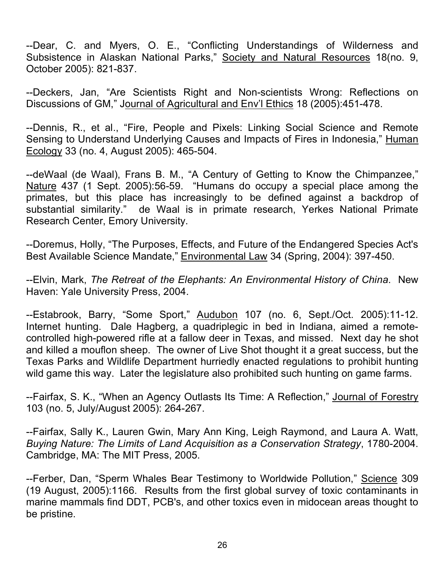--Dear, C. and Myers, O. E., "Conflicting Understandings of Wilderness and Subsistence in Alaskan National Parks," Society and Natural Resources 18(no. 9, October 2005): 821-837.

--Deckers, Jan, "Are Scientists Right and Non-scientists Wrong: Reflections on Discussions of GM," Journal of Agricultural and Env'l Ethics 18 (2005):451-478.

--Dennis, R., et al., "Fire, People and Pixels: Linking Social Science and Remote Sensing to Understand Underlying Causes and Impacts of Fires in Indonesia," Human Ecology 33 (no. 4, August 2005): 465-504.

--deWaal (de Waal), Frans B. M., "A Century of Getting to Know the Chimpanzee," Nature 437 (1 Sept. 2005):56-59. "Humans do occupy a special place among the primates, but this place has increasingly to be defined against a backdrop of substantial similarity." de Waal is in primate research, Yerkes National Primate Research Center, Emory University.

--Doremus, Holly, "The Purposes, Effects, and Future of the Endangered Species Act's Best Available Science Mandate," Environmental Law 34 (Spring, 2004): 397-450.

--Elvin, Mark, *The Retreat of the Elephants: An Environmental History of China*. New Haven: Yale University Press, 2004.

--Estabrook, Barry, "Some Sport," Audubon 107 (no. 6, Sept./Oct. 2005):11-12. Internet hunting. Dale Hagberg, a quadriplegic in bed in Indiana, aimed a remotecontrolled high-powered rifle at a fallow deer in Texas, and missed. Next day he shot and killed a mouflon sheep. The owner of Live Shot thought it a great success, but the Texas Parks and Wildlife Department hurriedly enacted regulations to prohibit hunting wild game this way. Later the legislature also prohibited such hunting on game farms.

--Fairfax, S. K., "When an Agency Outlasts Its Time: A Reflection," Journal of Forestry 103 (no. 5, July/August 2005): 264-267.

--Fairfax, Sally K., Lauren Gwin, Mary Ann King, Leigh Raymond, and Laura A. Watt, *Buying Nature: The Limits of Land Acquisition as a Conservation Strategy*, 1780-2004. Cambridge, MA: The MIT Press, 2005.

--Ferber, Dan, "Sperm Whales Bear Testimony to Worldwide Pollution," Science 309 (19 August, 2005):1166. Results from the first global survey of toxic contaminants in marine mammals find DDT, PCB's, and other toxics even in midocean areas thought to be pristine.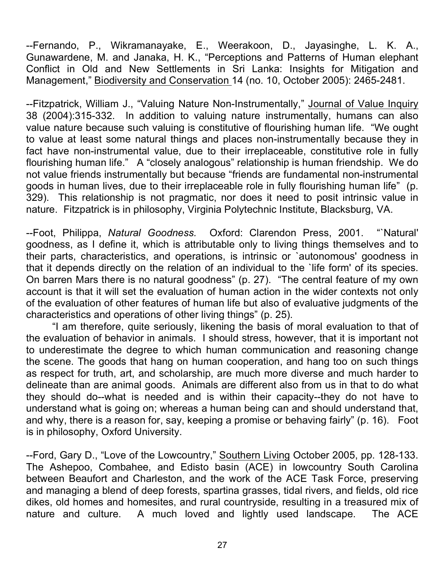--Fernando, P., Wikramanayake, E., Weerakoon, D., Jayasinghe, L. K. A., Gunawardene, M. and Janaka, H. K., "Perceptions and Patterns of Human elephant Conflict in Old and New Settlements in Sri Lanka: Insights for Mitigation and Management," Biodiversity and Conservation 14 (no. 10, October 2005): 2465-2481.

--Fitzpatrick, William J., "Valuing Nature Non-Instrumentally," Journal of Value Inquiry 38 (2004):315-332. In addition to valuing nature instrumentally, humans can also value nature because such valuing is constitutive of flourishing human life. "We ought to value at least some natural things and places non-instrumentally because they in fact have non-instrumental value, due to their irreplaceable, constitutive role in fully flourishing human life." A "closely analogous" relationship is human friendship. We do not value friends instrumentally but because "friends are fundamental non-instrumental goods in human lives, due to their irreplaceable role in fully flourishing human life" (p. 329). This relationship is not pragmatic, nor does it need to posit intrinsic value in nature. Fitzpatrick is in philosophy, Virginia Polytechnic Institute, Blacksburg, VA.

--Foot, Philippa, *Natural Goodness.* Oxford: Clarendon Press, 2001. "`Natural' goodness, as I define it, which is attributable only to living things themselves and to their parts, characteristics, and operations, is intrinsic or `autonomous' goodness in that it depends directly on the relation of an individual to the `life form' of its species. On barren Mars there is no natural goodness" (p. 27). "The central feature of my own account is that it will set the evaluation of human action in the wider contexts not only of the evaluation of other features of human life but also of evaluative judgments of the characteristics and operations of other living things" (p. 25).

"I am therefore, quite seriously, likening the basis of moral evaluation to that of the evaluation of behavior in animals. I should stress, however, that it is important not to underestimate the degree to which human communication and reasoning change the scene. The goods that hang on human cooperation, and hang too on such things as respect for truth, art, and scholarship, are much more diverse and much harder to delineate than are animal goods. Animals are different also from us in that to do what they should do--what is needed and is within their capacity--they do not have to understand what is going on; whereas a human being can and should understand that, and why, there is a reason for, say, keeping a promise or behaving fairly" (p. 16). Foot is in philosophy, Oxford University.

--Ford, Gary D., "Love of the Lowcountry," Southern Living October 2005, pp. 128-133. The Ashepoo, Combahee, and Edisto basin (ACE) in lowcountry South Carolina between Beaufort and Charleston, and the work of the ACE Task Force, preserving and managing a blend of deep forests, spartina grasses, tidal rivers, and fields, old rice dikes, old homes and homesites, and rural countryside, resulting in a treasured mix of nature and culture. A much loved and lightly used landscape. The ACE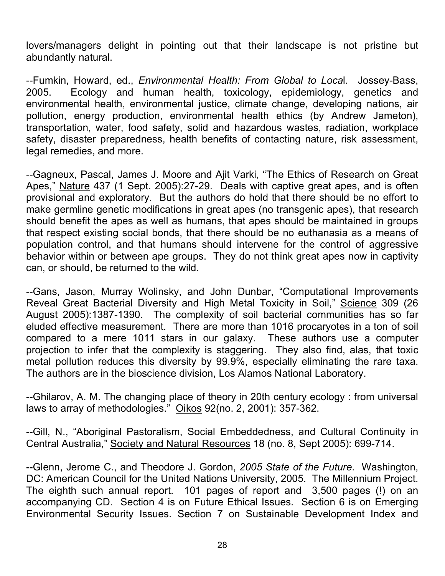lovers/managers delight in pointing out that their landscape is not pristine but abundantly natural.

--Fumkin, Howard, ed., *Environmental Health: From Global to Loca*l. Jossey-Bass, 2005. Ecology and human health, toxicology, epidemiology, genetics and environmental health, environmental justice, climate change, developing nations, air pollution, energy production, environmental health ethics (by Andrew Jameton), transportation, water, food safety, solid and hazardous wastes, radiation, workplace safety, disaster preparedness, health benefits of contacting nature, risk assessment, legal remedies, and more.

--Gagneux, Pascal, James J. Moore and Ajit Varki, "The Ethics of Research on Great Apes," Nature 437 (1 Sept. 2005):27-29. Deals with captive great apes, and is often provisional and exploratory. But the authors do hold that there should be no effort to make germline genetic modifications in great apes (no transgenic apes), that research should benefit the apes as well as humans, that apes should be maintained in groups that respect existing social bonds, that there should be no euthanasia as a means of population control, and that humans should intervene for the control of aggressive behavior within or between ape groups. They do not think great apes now in captivity can, or should, be returned to the wild.

--Gans, Jason, Murray Wolinsky, and John Dunbar, "Computational Improvements Reveal Great Bacterial Diversity and High Metal Toxicity in Soil," Science 309 (26 August 2005):1387-1390. The complexity of soil bacterial communities has so far eluded effective measurement. There are more than 1016 procaryotes in a ton of soil compared to a mere 1011 stars in our galaxy. These authors use a computer projection to infer that the complexity is staggering. They also find, alas, that toxic metal pollution reduces this diversity by 99.9%, especially eliminating the rare taxa. The authors are in the bioscience division, Los Alamos National Laboratory.

--Ghilarov, A. M. The changing place of theory in 20th century ecology : from universal laws to array of methodologies." Oikos 92(no. 2, 2001): 357-362.

--Gill, N., "Aboriginal Pastoralism, Social Embeddedness, and Cultural Continuity in Central Australia," Society and Natural Resources 18 (no. 8, Sept 2005): 699-714.

--Glenn, Jerome C., and Theodore J. Gordon, *2005 State of the Future*. Washington, DC: American Council for the United Nations University, 2005. The Millennium Project. The eighth such annual report. 101 pages of report and 3,500 pages (!) on an accompanying CD. Section 4 is on Future Ethical Issues. Section 6 is on Emerging Environmental Security Issues. Section 7 on Sustainable Development Index and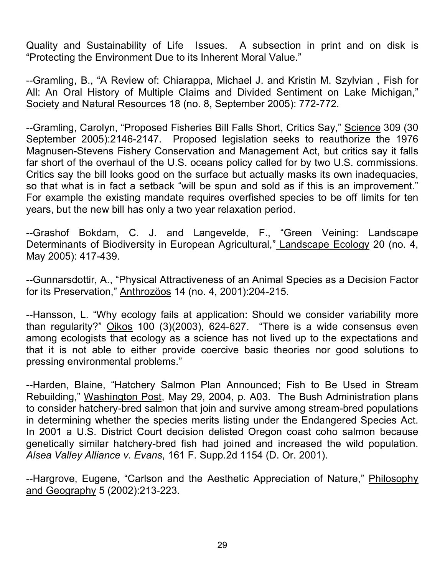Quality and Sustainability of Life Issues. A subsection in print and on disk is "Protecting the Environment Due to its Inherent Moral Value."

--Gramling, B., "A Review of: Chiarappa, Michael J. and Kristin M. Szylvian , Fish for All: An Oral History of Multiple Claims and Divided Sentiment on Lake Michigan," Society and Natural Resources 18 (no. 8, September 2005): 772-772.

--Gramling, Carolyn, "Proposed Fisheries Bill Falls Short, Critics Say," Science 309 (30 September 2005):2146-2147. Proposed legislation seeks to reauthorize the 1976 Magnusen-Stevens Fishery Conservation and Management Act, but critics say it falls far short of the overhaul of the U.S. oceans policy called for by two U.S. commissions. Critics say the bill looks good on the surface but actually masks its own inadequacies, so that what is in fact a setback "will be spun and sold as if this is an improvement." For example the existing mandate requires overfished species to be off limits for ten years, but the new bill has only a two year relaxation period.

--Grashof Bokdam, C. J. and Langevelde, F., "Green Veining: Landscape Determinants of Biodiversity in European Agricultural," Landscape Ecology 20 (no. 4, May 2005): 417-439.

--Gunnarsdottir, A., "Physical Attractiveness of an Animal Species as a Decision Factor for its Preservation," Anthrozöos 14 (no. 4, 2001):204-215.

--Hansson, L. "Why ecology fails at application: Should we consider variability more than regularity?" Oikos 100 (3)(2003), 624-627. "There is a wide consensus even among ecologists that ecology as a science has not lived up to the expectations and that it is not able to either provide coercive basic theories nor good solutions to pressing environmental problems."

--Harden, Blaine, "Hatchery Salmon Plan Announced; Fish to Be Used in Stream Rebuilding," Washington Post, May 29, 2004, p. A03. The Bush Administration plans to consider hatchery-bred salmon that join and survive among stream-bred populations in determining whether the species merits listing under the Endangered Species Act. In 2001 a U.S. District Court decision delisted Oregon coast coho salmon because genetically similar hatchery-bred fish had joined and increased the wild population. *Alsea Valley Alliance v. Evans*, 161 F. Supp.2d 1154 (D. Or. 2001).

--Hargrove, Eugene, "Carlson and the Aesthetic Appreciation of Nature," Philosophy and Geography 5 (2002):213-223.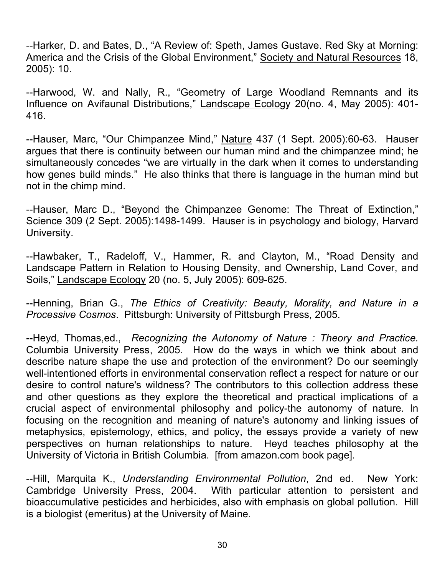--Harker, D. and Bates, D., "A Review of: Speth, James Gustave. Red Sky at Morning: America and the Crisis of the Global Environment," Society and Natural Resources 18, 2005): 10.

--Harwood, W. and Nally, R., "Geometry of Large Woodland Remnants and its Influence on Avifaunal Distributions," Landscape Ecology 20(no. 4, May 2005): 401- 416.

--Hauser, Marc, "Our Chimpanzee Mind," Nature 437 (1 Sept. 2005):60-63. Hauser argues that there is continuity between our human mind and the chimpanzee mind; he simultaneously concedes "we are virtually in the dark when it comes to understanding how genes build minds." He also thinks that there is language in the human mind but not in the chimp mind.

--Hauser, Marc D., "Beyond the Chimpanzee Genome: The Threat of Extinction," Science 309 (2 Sept. 2005):1498-1499. Hauser is in psychology and biology, Harvard University.

--Hawbaker, T., Radeloff, V., Hammer, R. and Clayton, M., "Road Density and Landscape Pattern in Relation to Housing Density, and Ownership, Land Cover, and Soils," Landscape Ecology 20 (no. 5, July 2005): 609-625.

--Henning, Brian G., *The Ethics of Creativity: Beauty, Morality, and Nature in a Processive Cosmos*. Pittsburgh: University of Pittsburgh Press, 2005.

--Heyd, Thomas,ed., *Recognizing the Autonomy of Nature : Theory and Practice.* Columbia University Press, 2005. How do the ways in which we think about and describe nature shape the use and protection of the environment? Do our seemingly well-intentioned efforts in environmental conservation reflect a respect for nature or our desire to control nature's wildness? The contributors to this collection address these and other questions as they explore the theoretical and practical implications of a crucial aspect of environmental philosophy and policy-the autonomy of nature. In focusing on the recognition and meaning of nature's autonomy and linking issues of metaphysics, epistemology, ethics, and policy, the essays provide a variety of new perspectives on human relationships to nature. Heyd teaches philosophy at the University of Victoria in British Columbia. [from amazon.com book page].

--Hill, Marquita K., *Understanding Environmental Pollution*, 2nd ed. New York: Cambridge University Press, 2004. With particular attention to persistent and bioaccumulative pesticides and herbicides, also with emphasis on global pollution. Hill is a biologist (emeritus) at the University of Maine.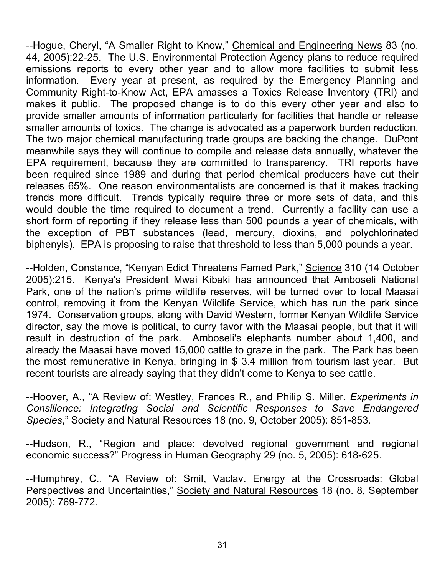--Hogue, Cheryl, "A Smaller Right to Know," Chemical and Engineering News 83 (no. 44, 2005):22-25. The U.S. Environmental Protection Agency plans to reduce required emissions reports to every other year and to allow more facilities to submit less information. Every year at present, as required by the Emergency Planning and Community Right-to-Know Act, EPA amasses a Toxics Release Inventory (TRI) and makes it public. The proposed change is to do this every other year and also to provide smaller amounts of information particularly for facilities that handle or release smaller amounts of toxics. The change is advocated as a paperwork burden reduction. The two major chemical manufacturing trade groups are backing the change. DuPont meanwhile says they will continue to compile and release data annually, whatever the EPA requirement, because they are committed to transparency. TRI reports have been required since 1989 and during that period chemical producers have cut their releases 65%. One reason environmentalists are concerned is that it makes tracking trends more difficult. Trends typically require three or more sets of data, and this would double the time required to document a trend. Currently a facility can use a short form of reporting if they release less than 500 pounds a year of chemicals, with the exception of PBT substances (lead, mercury, dioxins, and polychlorinated biphenyls). EPA is proposing to raise that threshold to less than 5,000 pounds a year.

--Holden, Constance, "Kenyan Edict Threatens Famed Park," Science 310 (14 October 2005):215. Kenya's President Mwai Kibaki has announced that Amboseli National Park, one of the nation's prime wildlife reserves, will be turned over to local Maasai control, removing it from the Kenyan Wildlife Service, which has run the park since 1974. Conservation groups, along with David Western, former Kenyan Wildlife Service director, say the move is political, to curry favor with the Maasai people, but that it will result in destruction of the park. Amboseli's elephants number about 1,400, and already the Maasai have moved 15,000 cattle to graze in the park. The Park has been the most remunerative in Kenya, bringing in \$ 3.4 million from tourism last year. But recent tourists are already saying that they didn't come to Kenya to see cattle.

--Hoover, A., "A Review of: Westley, Frances R., and Philip S. Miller. *Experiments in Consilience: Integrating Social and Scientific Responses to Save Endangered Species*," Society and Natural Resources 18 (no. 9, October 2005): 851-853.

--Hudson, R., "Region and place: devolved regional government and regional economic success?" Progress in Human Geography 29 (no. 5, 2005): 618-625.

--Humphrey, C., "A Review of: Smil, Vaclav. Energy at the Crossroads: Global Perspectives and Uncertainties," Society and Natural Resources 18 (no. 8, September 2005): 769-772.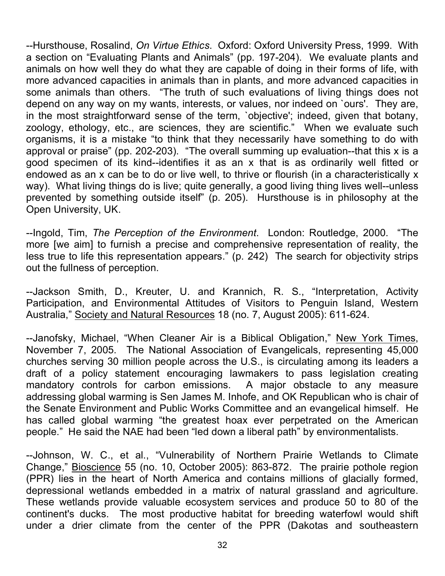--Hursthouse, Rosalind, *On Virtue Ethics*. Oxford: Oxford University Press, 1999. With a section on "Evaluating Plants and Animals" (pp. 197-204). We evaluate plants and animals on how well they do what they are capable of doing in their forms of life, with more advanced capacities in animals than in plants, and more advanced capacities in some animals than others. "The truth of such evaluations of living things does not depend on any way on my wants, interests, or values, nor indeed on `ours'. They are, in the most straightforward sense of the term, `objective'; indeed, given that botany, zoology, ethology, etc., are sciences, they are scientific." When we evaluate such organisms, it is a mistake "to think that they necessarily have something to do with approval or praise" (pp. 202-203). "The overall summing up evaluation--that this x is a good specimen of its kind--identifies it as an x that is as ordinarily well fitted or endowed as an x can be to do or live well, to thrive or flourish (in a characteristically x way). What living things do is live; quite generally, a good living thing lives well--unless prevented by something outside itself" (p. 205). Hursthouse is in philosophy at the Open University, UK.

--Ingold, Tim, *The Perception of the Environment*. London: Routledge, 2000. "The more [we aim] to furnish a precise and comprehensive representation of reality, the less true to life this representation appears." (p. 242) The search for objectivity strips out the fullness of perception.

--Jackson Smith, D., Kreuter, U. and Krannich, R. S., "Interpretation, Activity Participation, and Environmental Attitudes of Visitors to Penguin Island, Western Australia," Society and Natural Resources 18 (no. 7, August 2005): 611-624.

--Janofsky, Michael, "When Cleaner Air is a Biblical Obligation," New York Times, November 7, 2005. The National Association of Evangelicals, representing 45,000 churches serving 30 million people across the U.S., is circulating among its leaders a draft of a policy statement encouraging lawmakers to pass legislation creating mandatory controls for carbon emissions. A major obstacle to any measure addressing global warming is Sen James M. Inhofe, and OK Republican who is chair of the Senate Environment and Public Works Committee and an evangelical himself. He has called global warming "the greatest hoax ever perpetrated on the American people." He said the NAE had been "led down a liberal path" by environmentalists.

--Johnson, W. C., et al., "Vulnerability of Northern Prairie Wetlands to Climate Change," Bioscience 55 (no. 10, October 2005): 863-872. The prairie pothole region (PPR) lies in the heart of North America and contains millions of glacially formed, depressional wetlands embedded in a matrix of natural grassland and agriculture. These wetlands provide valuable ecosystem services and produce 50 to 80 of the continent's ducks. The most productive habitat for breeding waterfowl would shift under a drier climate from the center of the PPR (Dakotas and southeastern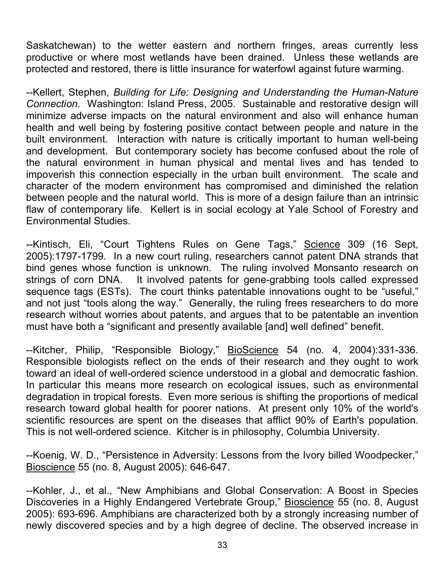Saskatchewan) to the wetter eastern and northern fringes, areas currently less productive or where most wetlands have been drained. Unless these wetlands are protected and restored, there is little insurance for waterfowl against future warming.

--Kellert, Stephen, *Building for Life: Designing and Understanding the Human-Nature Connection*. Washington: Island Press, 2005. Sustainable and restorative design will minimize adverse impacts on the natural environment and also will enhance human health and well being by fostering positive contact between people and nature in the built environment. Interaction with nature is critically important to human well-being and development. But contemporary society has become confused about the role of the natural environment in human physical and mental lives and has tended to impoverish this connection especially in the urban built environment. The scale and character of the modern environment has compromised and diminished the relation between people and the natural world. This is more of a design failure than an intrinsic flaw of contemporary life. Kellert is in social ecology at Yale School of Forestry and Environmental Studies.

-Kintisch, Eli, "Court Tightens Rules on Gene Tags," Science 309 (16 Sept, 2005):1797-1799. In a new court ruling, researchers cannot patent DNA strands that bind genes whose function is unknown. The ruling involved Monsanto research on strings of corn DNA. It involved patents for gene-grabbing tools called expressed sequence tags (ESTs). The court thinks patentable innovations ought to be "useful," and not just "tools along the way." Generally, the ruling frees researchers to do more research without worries about patents, and argues that to be patentable an invention must have both a "significant and presently available [and] well defined" benefit.

--Kitcher, Philip, "Responsible Biology," BioScience 54 (no. 4, 2004):331-336. Responsible biologists reflect on the ends of their research and they ought to work toward an ideal of well-ordered science understood in a global and democratic fashion. In particular this means more research on ecological issues, such as environmental degradation in tropical forests. Even more serious is shifting the proportions of medical research toward global health for poorer nations. At present only 10% of the world's scientific resources are spent on the diseases that afflict 90% of Earth's population. This is not well-ordered science. Kitcher is in philosophy, Columbia University.

--Koenig, W. D., "Persistence in Adversity: Lessons from the Ivory billed Woodpecker," Bioscience 55 (no. 8, August 2005): 646-647.

--Kohler, J., et al., "New Amphibians and Global Conservation: A Boost in Species Discoveries in a Highly Endangered Vertebrate Group," Bioscience 55 (no. 8, August 2005): 693-696. Amphibians are characterized both by a strongly increasing number of newly discovered species and by a high degree of decline. The observed increase in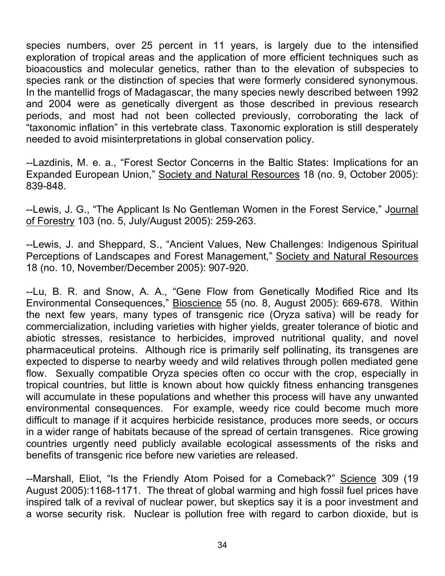species numbers, over 25 percent in 11 years, is largely due to the intensified exploration of tropical areas and the application of more efficient techniques such as bioacoustics and molecular genetics, rather than to the elevation of subspecies to species rank or the distinction of species that were formerly considered synonymous. In the mantellid frogs of Madagascar, the many species newly described between 1992 and 2004 were as genetically divergent as those described in previous research periods, and most had not been collected previously, corroborating the lack of "taxonomic inflation" in this vertebrate class. Taxonomic exploration is still desperately needed to avoid misinterpretations in global conservation policy.

--Lazdinis, M. e. a., "Forest Sector Concerns in the Baltic States: Implications for an Expanded European Union," Society and Natural Resources 18 (no. 9, October 2005): 839-848.

--Lewis, J. G., "The Applicant Is No Gentleman Women in the Forest Service," Journal of Forestry 103 (no. 5, July/August 2005): 259-263.

--Lewis, J. and Sheppard, S., "Ancient Values, New Challenges: Indigenous Spiritual Perceptions of Landscapes and Forest Management," Society and Natural Resources 18 (no. 10, November/December 2005): 907-920.

--Lu, B. R. and Snow, A. A., "Gene Flow from Genetically Modified Rice and Its Environmental Consequences," Bioscience 55 (no. 8, August 2005): 669-678. Within the next few years, many types of transgenic rice (Oryza sativa) will be ready for commercialization, including varieties with higher yields, greater tolerance of biotic and abiotic stresses, resistance to herbicides, improved nutritional quality, and novel pharmaceutical proteins. Although rice is primarily self pollinating, its transgenes are expected to disperse to nearby weedy and wild relatives through pollen mediated gene flow. Sexually compatible Oryza species often co occur with the crop, especially in tropical countries, but little is known about how quickly fitness enhancing transgenes will accumulate in these populations and whether this process will have any unwanted environmental consequences. For example, weedy rice could become much more difficult to manage if it acquires herbicide resistance, produces more seeds, or occurs in a wider range of habitats because of the spread of certain transgenes. Rice growing countries urgently need publicly available ecological assessments of the risks and benefits of transgenic rice before new varieties are released.

--Marshall, Eliot, "Is the Friendly Atom Poised for a Comeback?" Science 309 (19 August 2005):1168-1171. The threat of global warming and high fossil fuel prices have inspired talk of a revival of nuclear power, but skeptics say it is a poor investment and a worse security risk. Nuclear is pollution free with regard to carbon dioxide, but is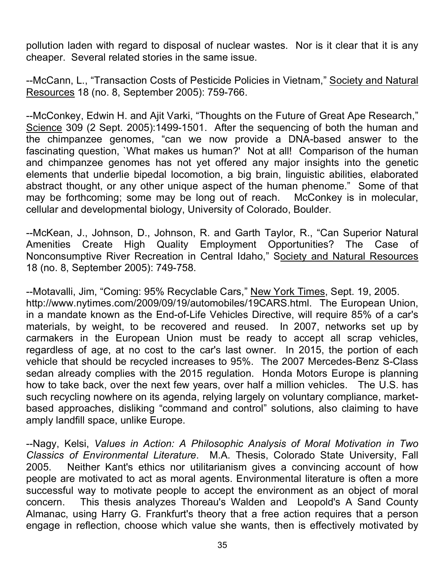pollution laden with regard to disposal of nuclear wastes. Nor is it clear that it is any cheaper. Several related stories in the same issue.

--McCann, L., "Transaction Costs of Pesticide Policies in Vietnam," Society and Natural Resources 18 (no. 8, September 2005): 759-766.

--McConkey, Edwin H. and Ajit Varki, "Thoughts on the Future of Great Ape Research," Science 309 (2 Sept. 2005):1499-1501. After the sequencing of both the human and the chimpanzee genomes, "can we now provide a DNA-based answer to the fascinating question, `What makes us human?' Not at all! Comparison of the human and chimpanzee genomes has not yet offered any major insights into the genetic elements that underlie bipedal locomotion, a big brain, linguistic abilities, elaborated abstract thought, or any other unique aspect of the human phenome." Some of that may be forthcoming; some may be long out of reach. McConkey is in molecular, cellular and developmental biology, University of Colorado, Boulder.

--McKean, J., Johnson, D., Johnson, R. and Garth Taylor, R., "Can Superior Natural Amenities Create High Quality Employment Opportunities? The Case of Nonconsumptive River Recreation in Central Idaho," Society and Natural Resources 18 (no. 8, September 2005): 749-758.

--Motavalli, Jim, "Coming: 95% Recyclable Cars," New York Times, Sept. 19, 2005. http://www.nytimes.com/2009/09/19/automobiles/19CARS.html. The European Union, in a mandate known as the End-of-Life Vehicles Directive, will require 85% of a car's materials, by weight, to be recovered and reused. In 2007, networks set up by carmakers in the European Union must be ready to accept all scrap vehicles, regardless of age, at no cost to the car's last owner. In 2015, the portion of each vehicle that should be recycled increases to 95%. The 2007 Mercedes-Benz S-Class sedan already complies with the 2015 regulation. Honda Motors Europe is planning how to take back, over the next few years, over half a million vehicles. The U.S. has such recycling nowhere on its agenda, relying largely on voluntary compliance, marketbased approaches, disliking "command and control" solutions, also claiming to have amply landfill space, unlike Europe.

--Nagy, Kelsi, *Values in Action: A Philosophic Analysis of Moral Motivation in Two Classics of Environmental Literature*. M.A. Thesis, Colorado State University, Fall 2005. Neither Kant's ethics nor utilitarianism gives a convincing account of how people are motivated to act as moral agents. Environmental literature is often a more successful way to motivate people to accept the environment as an object of moral concern. This thesis analyzes Thoreau's Walden and Leopold's A Sand County Almanac, using Harry G. Frankfurt's theory that a free action requires that a person engage in reflection, choose which value she wants, then is effectively motivated by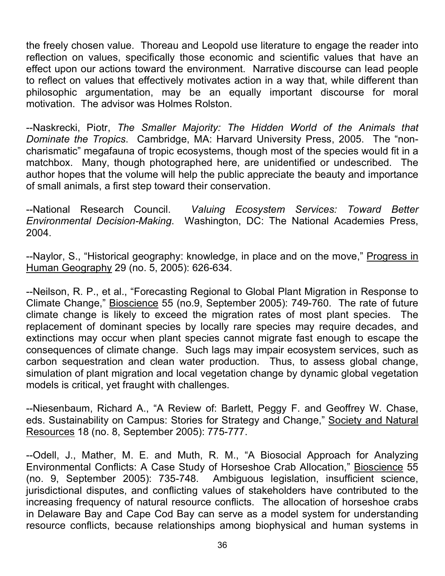the freely chosen value. Thoreau and Leopold use literature to engage the reader into reflection on values, specifically those economic and scientific values that have an effect upon our actions toward the environment. Narrative discourse can lead people to reflect on values that effectively motivates action in a way that, while different than philosophic argumentation, may be an equally important discourse for moral motivation. The advisor was Holmes Rolston.

--Naskrecki, Piotr, *The Smaller Majority: The Hidden World of the Animals that Dominate the Tropics*. Cambridge, MA: Harvard University Press, 2005. The "noncharismatic" megafauna of tropic ecosystems, though most of the species would fit in a matchbox. Many, though photographed here, are unidentified or undescribed. The author hopes that the volume will help the public appreciate the beauty and importance of small animals, a first step toward their conservation.

--National Research Council. *Valuing Ecosystem Services: Toward Better Environmental Decision-Making*. Washington, DC: The National Academies Press, 2004.

--Naylor, S., "Historical geography: knowledge, in place and on the move," Progress in Human Geography 29 (no. 5, 2005): 626-634.

--Neilson, R. P., et al., "Forecasting Regional to Global Plant Migration in Response to Climate Change," Bioscience 55 (no.9, September 2005): 749-760. The rate of future climate change is likely to exceed the migration rates of most plant species. The replacement of dominant species by locally rare species may require decades, and extinctions may occur when plant species cannot migrate fast enough to escape the consequences of climate change. Such lags may impair ecosystem services, such as carbon sequestration and clean water production. Thus, to assess global change, simulation of plant migration and local vegetation change by dynamic global vegetation models is critical, yet fraught with challenges.

--Niesenbaum, Richard A., "A Review of: Barlett, Peggy F. and Geoffrey W. Chase, eds. Sustainability on Campus: Stories for Strategy and Change," Society and Natural Resources 18 (no. 8, September 2005): 775-777.

--Odell, J., Mather, M. E. and Muth, R. M., "A Biosocial Approach for Analyzing Environmental Conflicts: A Case Study of Horseshoe Crab Allocation," Bioscience 55 (no. 9, September 2005): 735-748. Ambiguous legislation, insufficient science, jurisdictional disputes, and conflicting values of stakeholders have contributed to the increasing frequency of natural resource conflicts. The allocation of horseshoe crabs in Delaware Bay and Cape Cod Bay can serve as a model system for understanding resource conflicts, because relationships among biophysical and human systems in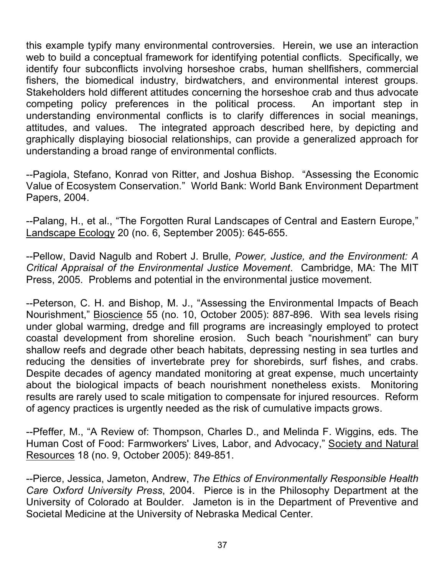this example typify many environmental controversies. Herein, we use an interaction web to build a conceptual framework for identifying potential conflicts. Specifically, we identify four subconflicts involving horseshoe crabs, human shellfishers, commercial fishers, the biomedical industry, birdwatchers, and environmental interest groups. Stakeholders hold different attitudes concerning the horseshoe crab and thus advocate competing policy preferences in the political process. An important step in understanding environmental conflicts is to clarify differences in social meanings, attitudes, and values. The integrated approach described here, by depicting and graphically displaying biosocial relationships, can provide a generalized approach for understanding a broad range of environmental conflicts.

--Pagiola, Stefano, Konrad von Ritter, and Joshua Bishop. "Assessing the Economic Value of Ecosystem Conservation." World Bank: World Bank Environment Department Papers, 2004.

--Palang, H., et al., "The Forgotten Rural Landscapes of Central and Eastern Europe," Landscape Ecology 20 (no. 6, September 2005): 645-655.

--Pellow, David Nagulb and Robert J. Brulle, *Power, Justice, and the Environment: A Critical Appraisal of the Environmental Justice Movement*. Cambridge, MA: The MIT Press, 2005. Problems and potential in the environmental justice movement.

--Peterson, C. H. and Bishop, M. J., "Assessing the Environmental Impacts of Beach Nourishment," Bioscience 55 (no. 10, October 2005): 887-896. With sea levels rising under global warming, dredge and fill programs are increasingly employed to protect coastal development from shoreline erosion. Such beach "nourishment" can bury shallow reefs and degrade other beach habitats, depressing nesting in sea turtles and reducing the densities of invertebrate prey for shorebirds, surf fishes, and crabs. Despite decades of agency mandated monitoring at great expense, much uncertainty about the biological impacts of beach nourishment nonetheless exists. Monitoring results are rarely used to scale mitigation to compensate for injured resources. Reform of agency practices is urgently needed as the risk of cumulative impacts grows.

--Pfeffer, M., "A Review of: Thompson, Charles D., and Melinda F. Wiggins, eds. The Human Cost of Food: Farmworkers' Lives, Labor, and Advocacy," Society and Natural Resources 18 (no. 9, October 2005): 849-851.

--Pierce, Jessica, Jameton, Andrew, *The Ethics of Environmentally Responsible Health Care Oxford University Press*, 2004. Pierce is in the Philosophy Department at the University of Colorado at Boulder. Jameton is in the Department of Preventive and Societal Medicine at the University of Nebraska Medical Center.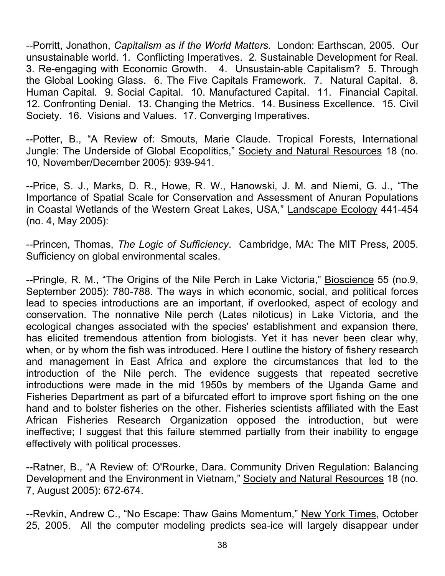--Porritt, Jonathon, *Capitalism as if the World Matters*. London: Earthscan, 2005. Our unsustainable world. 1. Conflicting Imperatives. 2. Sustainable Development for Real. 3. Re-engaging with Economic Growth. 4. Unsustain-able Capitalism? 5. Through the Global Looking Glass. 6. The Five Capitals Framework. 7. Natural Capital. 8. Human Capital. 9. Social Capital. 10. Manufactured Capital. 11. Financial Capital. 12. Confronting Denial. 13. Changing the Metrics. 14. Business Excellence. 15. Civil Society. 16. Visions and Values. 17. Converging Imperatives.

--Potter, B., "A Review of: Smouts, Marie Claude. Tropical Forests, International Jungle: The Underside of Global Ecopolitics," Society and Natural Resources 18 (no. 10, November/December 2005): 939-941.

--Price, S. J., Marks, D. R., Howe, R. W., Hanowski, J. M. and Niemi, G. J., "The Importance of Spatial Scale for Conservation and Assessment of Anuran Populations in Coastal Wetlands of the Western Great Lakes, USA," Landscape Ecology 441-454 (no. 4, May 2005):

--Princen, Thomas, *The Logic of Sufficiency*. Cambridge, MA: The MIT Press, 2005. Sufficiency on global environmental scales.

--Pringle, R. M., "The Origins of the Nile Perch in Lake Victoria," Bioscience 55 (no.9, September 2005): 780-788. The ways in which economic, social, and political forces lead to species introductions are an important, if overlooked, aspect of ecology and conservation. The nonnative Nile perch (Lates niloticus) in Lake Victoria, and the ecological changes associated with the species' establishment and expansion there, has elicited tremendous attention from biologists. Yet it has never been clear why, when, or by whom the fish was introduced. Here I outline the history of fishery research and management in East Africa and explore the circumstances that led to the introduction of the Nile perch. The evidence suggests that repeated secretive introductions were made in the mid 1950s by members of the Uganda Game and Fisheries Department as part of a bifurcated effort to improve sport fishing on the one hand and to bolster fisheries on the other. Fisheries scientists affiliated with the East African Fisheries Research Organization opposed the introduction, but were ineffective; I suggest that this failure stemmed partially from their inability to engage effectively with political processes.

--Ratner, B., "A Review of: O'Rourke, Dara. Community Driven Regulation: Balancing Development and the Environment in Vietnam," Society and Natural Resources 18 (no. 7, August 2005): 672-674.

--Revkin, Andrew C., "No Escape: Thaw Gains Momentum," New York Times, October 25, 2005. All the computer modeling predicts sea-ice will largely disappear under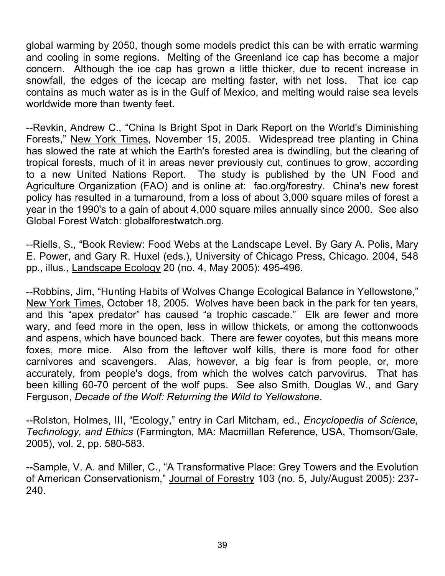global warming by 2050, though some models predict this can be with erratic warming and cooling in some regions. Melting of the Greenland ice cap has become a major concern. Although the ice cap has grown a little thicker, due to recent increase in snowfall, the edges of the icecap are melting faster, with net loss. That ice cap contains as much water as is in the Gulf of Mexico, and melting would raise sea levels worldwide more than twenty feet.

--Revkin, Andrew C., "China Is Bright Spot in Dark Report on the World's Diminishing Forests," New York Times, November 15, 2005. Widespread tree planting in China has slowed the rate at which the Earth's forested area is dwindling, but the clearing of tropical forests, much of it in areas never previously cut, continues to grow, according to a new United Nations Report. The study is published by the UN Food and Agriculture Organization (FAO) and is online at: fao.org/forestry. China's new forest policy has resulted in a turnaround, from a loss of about 3,000 square miles of forest a year in the 1990's to a gain of about 4,000 square miles annually since 2000. See also Global Forest Watch: globalforestwatch.org.

--Riells, S., "Book Review: Food Webs at the Landscape Level. By Gary A. Polis, Mary E. Power, and Gary R. Huxel (eds.), University of Chicago Press, Chicago. 2004, 548 pp., illus., Landscape Ecology 20 (no. 4, May 2005): 495-496.

--Robbins, Jim, "Hunting Habits of Wolves Change Ecological Balance in Yellowstone," New York Times, October 18, 2005. Wolves have been back in the park for ten years, and this "apex predator" has caused "a trophic cascade." Elk are fewer and more wary, and feed more in the open, less in willow thickets, or among the cottonwoods and aspens, which have bounced back. There are fewer coyotes, but this means more foxes, more mice. Also from the leftover wolf kills, there is more food for other carnivores and scavengers. Alas, however, a big fear is from people, or, more accurately, from people's dogs, from which the wolves catch parvovirus. That has been killing 60-70 percent of the wolf pups. See also Smith, Douglas W., and Gary Ferguson, *Decade of the Wolf: Returning the Wild to Yellowstone*.

--Rolston, Holmes, III, "Ecology," entry in Carl Mitcham, ed., *Encyclopedia of Science, Technology, and Ethics* (Farmington, MA: Macmillan Reference, USA, Thomson/Gale, 2005), vol. 2, pp. 580-583.

--Sample, V. A. and Miller, C., "A Transformative Place: Grey Towers and the Evolution of American Conservationism," Journal of Forestry 103 (no. 5, July/August 2005): 237- 240.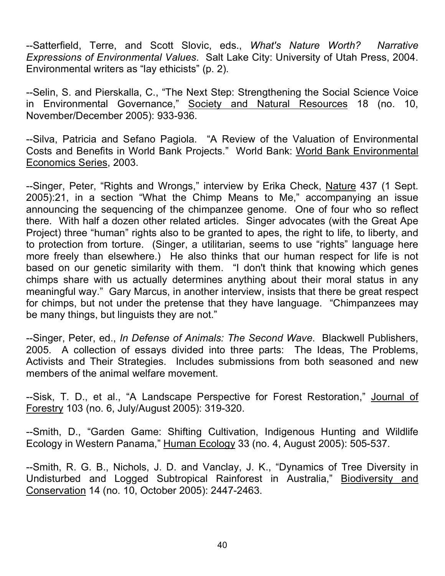--Satterfield, Terre, and Scott Slovic, eds., *What's Nature Worth? Narrative Expressions of Environmental Values*. Salt Lake City: University of Utah Press, 2004. Environmental writers as "lay ethicists" (p. 2).

--Selin, S. and Pierskalla, C., "The Next Step: Strengthening the Social Science Voice in Environmental Governance," Society and Natural Resources 18 (no. 10, November/December 2005): 933-936.

--Silva, Patricia and Sefano Pagiola. "A Review of the Valuation of Environmental Costs and Benefits in World Bank Projects." World Bank: World Bank Environmental Economics Series, 2003.

--Singer, Peter, "Rights and Wrongs," interview by Erika Check, Nature 437 (1 Sept. 2005):21, in a section "What the Chimp Means to Me," accompanying an issue announcing the sequencing of the chimpanzee genome. One of four who so reflect there. With half a dozen other related articles. Singer advocates (with the Great Ape Project) three "human" rights also to be granted to apes, the right to life, to liberty, and to protection from torture. (Singer, a utilitarian, seems to use "rights" language here more freely than elsewhere.) He also thinks that our human respect for life is not based on our genetic similarity with them. "I don't think that knowing which genes chimps share with us actually determines anything about their moral status in any meaningful way." Gary Marcus, in another interview, insists that there be great respect for chimps, but not under the pretense that they have language. "Chimpanzees may be many things, but linguists they are not."

--Singer, Peter, ed., *In Defense of Animals: The Second Wave*. Blackwell Publishers, 2005. A collection of essays divided into three parts: The Ideas, The Problems, Activists and Their Strategies. Includes submissions from both seasoned and new members of the animal welfare movement.

--Sisk, T. D., et al., "A Landscape Perspective for Forest Restoration," Journal of Forestry 103 (no. 6, July/August 2005): 319-320.

--Smith, D., "Garden Game: Shifting Cultivation, Indigenous Hunting and Wildlife Ecology in Western Panama," Human Ecology 33 (no. 4, August 2005): 505-537.

--Smith, R. G. B., Nichols, J. D. and Vanclay, J. K., "Dynamics of Tree Diversity in Undisturbed and Logged Subtropical Rainforest in Australia," Biodiversity and Conservation 14 (no. 10, October 2005): 2447-2463.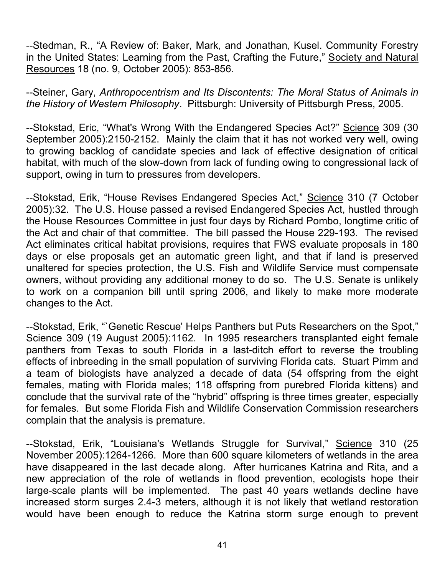--Stedman, R., "A Review of: Baker, Mark, and Jonathan, Kusel. Community Forestry in the United States: Learning from the Past, Crafting the Future," Society and Natural Resources 18 (no. 9, October 2005): 853-856.

--Steiner, Gary, *Anthropocentrism and Its Discontents: The Moral Status of Animals in the History of Western Philosophy*. Pittsburgh: University of Pittsburgh Press, 2005.

--Stokstad, Eric, "What's Wrong With the Endangered Species Act?" Science 309 (30 September 2005):2150-2152. Mainly the claim that it has not worked very well, owing to growing backlog of candidate species and lack of effective designation of critical habitat, with much of the slow-down from lack of funding owing to congressional lack of support, owing in turn to pressures from developers.

--Stokstad, Erik, "House Revises Endangered Species Act," Science 310 (7 October 2005):32. The U.S. House passed a revised Endangered Species Act, hustled through the House Resources Committee in just four days by Richard Pombo, longtime critic of the Act and chair of that committee. The bill passed the House 229-193. The revised Act eliminates critical habitat provisions, requires that FWS evaluate proposals in 180 days or else proposals get an automatic green light, and that if land is preserved unaltered for species protection, the U.S. Fish and Wildlife Service must compensate owners, without providing any additional money to do so. The U.S. Senate is unlikely to work on a companion bill until spring 2006, and likely to make more moderate changes to the Act.

--Stokstad, Erik, "`Genetic Rescue' Helps Panthers but Puts Researchers on the Spot," Science 309 (19 August 2005):1162. In 1995 researchers transplanted eight female panthers from Texas to south Florida in a last-ditch effort to reverse the troubling effects of inbreeding in the small population of surviving Florida cats. Stuart Pimm and a team of biologists have analyzed a decade of data (54 offspring from the eight females, mating with Florida males; 118 offspring from purebred Florida kittens) and conclude that the survival rate of the "hybrid" offspring is three times greater, especially for females. But some Florida Fish and Wildlife Conservation Commission researchers complain that the analysis is premature.

--Stokstad, Erik, "Louisiana's Wetlands Struggle for Survival," Science 310 (25 November 2005):1264-1266. More than 600 square kilometers of wetlands in the area have disappeared in the last decade along. After hurricanes Katrina and Rita, and a new appreciation of the role of wetlands in flood prevention, ecologists hope their large-scale plants will be implemented. The past 40 years wetlands decline have increased storm surges 2.4-3 meters, although it is not likely that wetland restoration would have been enough to reduce the Katrina storm surge enough to prevent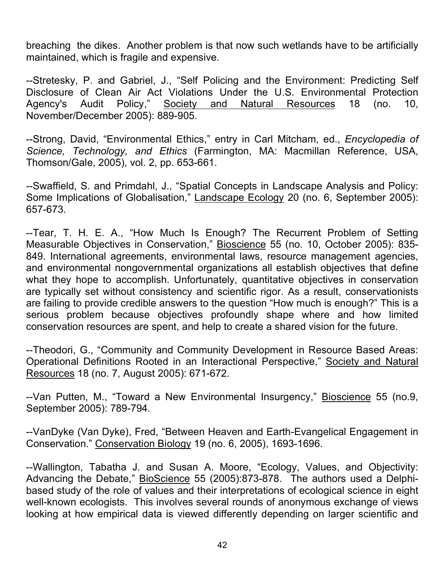breaching the dikes. Another problem is that now such wetlands have to be artificially maintained, which is fragile and expensive.

--Stretesky, P. and Gabriel, J., "Self Policing and the Environment: Predicting Self Disclosure of Clean Air Act Violations Under the U.S. Environmental Protection Agency's Audit Policy," Society and Natural Resources 18 (no. 10, November/December 2005): 889-905.

--Strong, David, "Environmental Ethics," entry in Carl Mitcham, ed., *Encyclopedia of Science, Technology, and Ethics* (Farmington, MA: Macmillan Reference, USA, Thomson/Gale, 2005), vol. 2, pp. 653-661.

--Swaffield, S. and Primdahl, J., "Spatial Concepts in Landscape Analysis and Policy: Some Implications of Globalisation," Landscape Ecology 20 (no. 6, September 2005): 657-673.

--Tear, T. H. E. A., "How Much Is Enough? The Recurrent Problem of Setting Measurable Objectives in Conservation," Bioscience 55 (no. 10, October 2005): 835- 849. International agreements, environmental laws, resource management agencies, and environmental nongovernmental organizations all establish objectives that define what they hope to accomplish. Unfortunately, quantitative objectives in conservation are typically set without consistency and scientific rigor. As a result, conservationists are failing to provide credible answers to the question "How much is enough?" This is a serious problem because objectives profoundly shape where and how limited conservation resources are spent, and help to create a shared vision for the future.

--Theodori, G., "Community and Community Development in Resource Based Areas: Operational Definitions Rooted in an Interactional Perspective," Society and Natural Resources 18 (no. 7, August 2005): 671-672.

--Van Putten, M., "Toward a New Environmental Insurgency," Bioscience 55 (no.9, September 2005): 789-794.

--VanDyke (Van Dyke), Fred, "Between Heaven and Earth-Evangelical Engagement in Conservation." Conservation Biology 19 (no. 6, 2005), 1693-1696.

--Wallington, Tabatha J. and Susan A. Moore, "Ecology, Values, and Objectivity: Advancing the Debate," BioScience 55 (2005):873-878. The authors used a Delphibased study of the role of values and their interpretations of ecological science in eight well-known ecologists. This involves several rounds of anonymous exchange of views looking at how empirical data is viewed differently depending on larger scientific and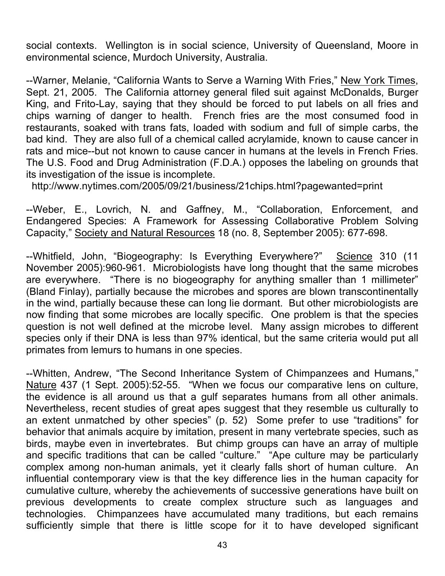social contexts. Wellington is in social science, University of Queensland, Moore in environmental science, Murdoch University, Australia.

--Warner, Melanie, "California Wants to Serve a Warning With Fries," New York Times, Sept. 21, 2005. The California attorney general filed suit against McDonalds, Burger King, and Frito-Lay, saying that they should be forced to put labels on all fries and chips warning of danger to health. French fries are the most consumed food in restaurants, soaked with trans fats, loaded with sodium and full of simple carbs, the bad kind. They are also full of a chemical called acrylamide, known to cause cancer in rats and mice--but not known to cause cancer in humans at the levels in French Fries. The U.S. Food and Drug Administration (F.D.A.) opposes the labeling on grounds that its investigation of the issue is incomplete.

http://www.nytimes.com/2005/09/21/business/21chips.html?pagewanted=print

--Weber, E., Lovrich, N. and Gaffney, M., "Collaboration, Enforcement, and Endangered Species: A Framework for Assessing Collaborative Problem Solving Capacity," Society and Natural Resources 18 (no. 8, September 2005): 677-698.

--Whitfield, John, "Biogeography: Is Everything Everywhere?" Science 310 (11 November 2005):960-961. Microbiologists have long thought that the same microbes are everywhere. "There is no biogeography for anything smaller than 1 millimeter" (Bland Finlay), partially because the microbes and spores are blown transcontinentally in the wind, partially because these can long lie dormant. But other microbiologists are now finding that some microbes are locally specific. One problem is that the species question is not well defined at the microbe level. Many assign microbes to different species only if their DNA is less than 97% identical, but the same criteria would put all primates from lemurs to humans in one species.

--Whitten, Andrew, "The Second Inheritance System of Chimpanzees and Humans," Nature 437 (1 Sept. 2005):52-55. "When we focus our comparative lens on culture, the evidence is all around us that a gulf separates humans from all other animals. Nevertheless, recent studies of great apes suggest that they resemble us culturally to an extent unmatched by other species" (p. 52) Some prefer to use "traditions" for behavior that animals acquire by imitation, present in many vertebrate species, such as birds, maybe even in invertebrates. But chimp groups can have an array of multiple and specific traditions that can be called "culture." "Ape culture may be particularly complex among non-human animals, yet it clearly falls short of human culture. An influential contemporary view is that the key difference lies in the human capacity for cumulative culture, whereby the achievements of successive generations have built on previous developments to create complex structure such as languages and technologies. Chimpanzees have accumulated many traditions, but each remains sufficiently simple that there is little scope for it to have developed significant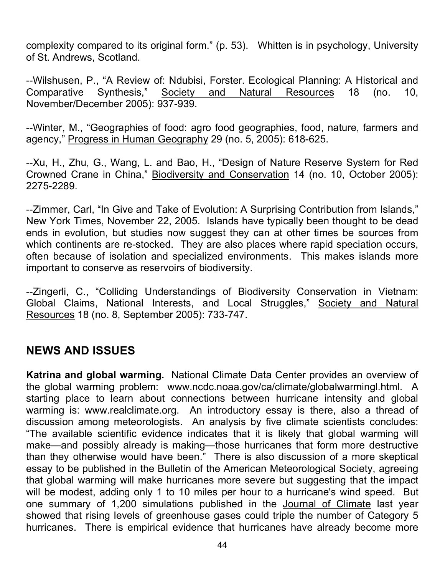complexity compared to its original form." (p. 53). Whitten is in psychology, University of St. Andrews, Scotland.

--Wilshusen, P., "A Review of: Ndubisi, Forster. Ecological Planning: A Historical and Comparative Synthesis," Society and Natural Resources 18 (no. 10, November/December 2005): 937-939.

--Winter, M., "Geographies of food: agro food geographies, food, nature, farmers and agency," Progress in Human Geography 29 (no. 5, 2005): 618-625.

--Xu, H., Zhu, G., Wang, L. and Bao, H., "Design of Nature Reserve System for Red Crowned Crane in China," Biodiversity and Conservation 14 (no. 10, October 2005): 2275-2289.

--Zimmer, Carl, "In Give and Take of Evolution: A Surprising Contribution from Islands," New York Times, November 22, 2005. Islands have typically been thought to be dead ends in evolution, but studies now suggest they can at other times be sources from which continents are re-stocked. They are also places where rapid speciation occurs, often because of isolation and specialized environments. This makes islands more important to conserve as reservoirs of biodiversity.

--Zingerli, C., "Colliding Understandings of Biodiversity Conservation in Vietnam: Global Claims, National Interests, and Local Struggles," Society and Natural Resources 18 (no. 8, September 2005): 733-747.

# **NEWS AND ISSUES**

**Katrina and global warming.** National Climate Data Center provides an overview of the global warming problem: www.ncdc.noaa.gov/ca/climate/globalwarmingl.html. A starting place to learn about connections between hurricane intensity and global warming is: www.realclimate.org. An introductory essay is there, also a thread of discussion among meteorologists. An analysis by five climate scientists concludes: "The available scientific evidence indicates that it is likely that global warming will make—and possibly already is making—those hurricanes that form more destructive than they otherwise would have been." There is also discussion of a more skeptical essay to be published in the Bulletin of the American Meteorological Society, agreeing that global warming will make hurricanes more severe but suggesting that the impact will be modest, adding only 1 to 10 miles per hour to a hurricane's wind speed. But one summary of 1,200 simulations published in the Journal of Climate last year showed that rising levels of greenhouse gases could triple the number of Category 5 hurricanes. There is empirical evidence that hurricanes have already become more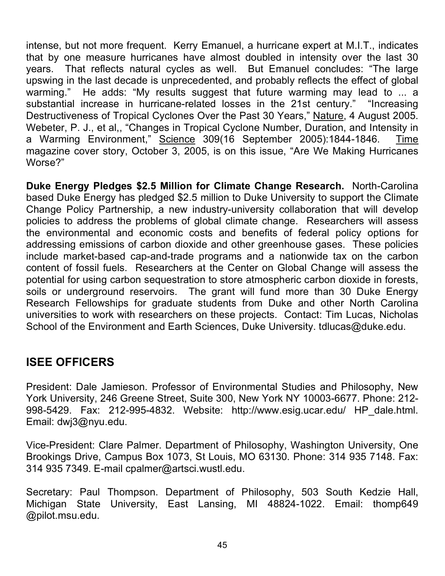intense, but not more frequent. Kerry Emanuel, a hurricane expert at M.I.T., indicates that by one measure hurricanes have almost doubled in intensity over the last 30 years. That reflects natural cycles as well. But Emanuel concludes: "The large upswing in the last decade is unprecedented, and probably reflects the effect of global warming." He adds: "My results suggest that future warming may lead to ... a substantial increase in hurricane-related losses in the 21st century." "Increasing Destructiveness of Tropical Cyclones Over the Past 30 Years," Nature, 4 August 2005. Webeter, P. J., et al,, "Changes in Tropical Cyclone Number, Duration, and Intensity in a Warming Environment," Science 309(16 September 2005):1844-1846. Time magazine cover story, October 3, 2005, is on this issue, "Are We Making Hurricanes Worse?"

**Duke Energy Pledges \$2.5 Million for Climate Change Research.** North-Carolina based Duke Energy has pledged \$2.5 million to Duke University to support the Climate Change Policy Partnership, a new industry-university collaboration that will develop policies to address the problems of global climate change. Researchers will assess the environmental and economic costs and benefits of federal policy options for addressing emissions of carbon dioxide and other greenhouse gases. These policies include market-based cap-and-trade programs and a nationwide tax on the carbon content of fossil fuels. Researchers at the Center on Global Change will assess the potential for using carbon sequestration to store atmospheric carbon dioxide in forests, soils or underground reservoirs. The grant will fund more than 30 Duke Energy Research Fellowships for graduate students from Duke and other North Carolina universities to work with researchers on these projects. Contact: Tim Lucas, Nicholas School of the Environment and Earth Sciences, Duke University. tdlucas@duke.edu.

## **ISEE OFFICERS**

President: Dale Jamieson. Professor of Environmental Studies and Philosophy, New York University, 246 Greene Street, Suite 300, New York NY 10003-6677. Phone: 212- 998-5429. Fax: 212-995-4832. Website: http://www.esig.ucar.edu/ HP\_dale.html. Email: dwj3@nyu.edu.

Vice-President: Clare Palmer. Department of Philosophy, Washington University, One Brookings Drive, Campus Box 1073, St Louis, MO 63130. Phone: 314 935 7148. Fax: 314 935 7349. E-mail cpalmer@artsci.wustl.edu.

Secretary: Paul Thompson. Department of Philosophy, 503 South Kedzie Hall, Michigan State University, East Lansing, MI 48824-1022. Email: thomp649 @pilot.msu.edu.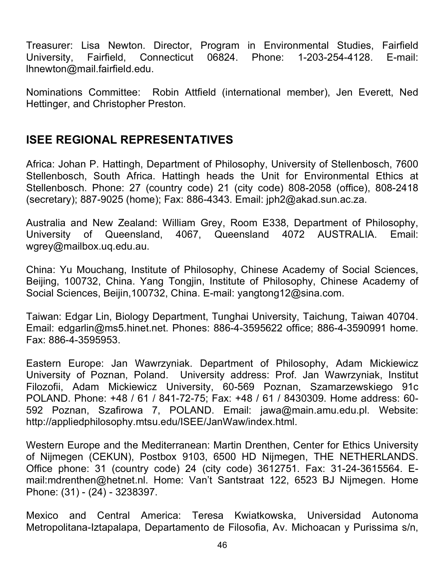Treasurer: Lisa Newton. Director, Program in Environmental Studies, Fairfield University, Fairfield, Connecticut 06824. Phone: 1-203-254-4128. E-mail: lhnewton@mail.fairfield.edu.

Nominations Committee: Robin Attfield (international member), Jen Everett, Ned Hettinger, and Christopher Preston.

## **ISEE REGIONAL REPRESENTATIVES**

Africa: Johan P. Hattingh, Department of Philosophy, University of Stellenbosch, 7600 Stellenbosch, South Africa. Hattingh heads the Unit for Environmental Ethics at Stellenbosch. Phone: 27 (country code) 21 (city code) 808-2058 (office), 808-2418 (secretary); 887-9025 (home); Fax: 886-4343. Email: jph2@akad.sun.ac.za.

Australia and New Zealand: William Grey, Room E338, Department of Philosophy, University of Queensland, 4067, Queensland 4072 AUSTRALIA. Email: wgrey@mailbox.uq.edu.au.

China: Yu Mouchang, Institute of Philosophy, Chinese Academy of Social Sciences, Beijing, 100732, China. Yang Tongjin, Institute of Philosophy, Chinese Academy of Social Sciences, Beijin,100732, China. E-mail: yangtong12@sina.com.

Taiwan: Edgar Lin, Biology Department, Tunghai University, Taichung, Taiwan 40704. Email: edgarlin@ms5.hinet.net. Phones: 886-4-3595622 office; 886-4-3590991 home. Fax: 886-4-3595953.

Eastern Europe: Jan Wawrzyniak. Department of Philosophy, Adam Mickiewicz University of Poznan, Poland. University address: Prof. Jan Wawrzyniak, Institut Filozofii, Adam Mickiewicz University, 60-569 Poznan, Szamarzewskiego 91c POLAND. Phone: +48 / 61 / 841-72-75; Fax: +48 / 61 / 8430309. Home address: 60- 592 Poznan, Szafirowa 7, POLAND. Email: jawa@main.amu.edu.pl. Website: http://appliedphilosophy.mtsu.edu/ISEE/JanWaw/index.html.

Western Europe and the Mediterranean: Martin Drenthen, Center for Ethics University of Nijmegen (CEKUN), Postbox 9103, 6500 HD Nijmegen, THE NETHERLANDS. Office phone: 31 (country code) 24 (city code) 3612751. Fax: 31-24-3615564. Email:mdrenthen@hetnet.nl. Home: Van't Santstraat 122, 6523 BJ Nijmegen. Home Phone: (31) - (24) - 3238397.

Mexico and Central America: Teresa Kwiatkowska, Universidad Autonoma Metropolitana-Iztapalapa, Departamento de Filosofia, Av. Michoacan y Purissima s/n,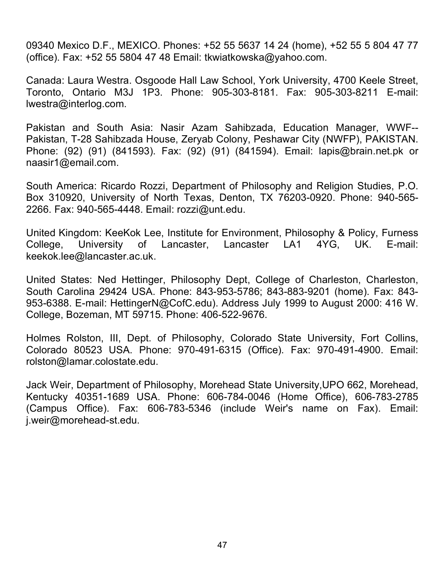09340 Mexico D.F., MEXICO. Phones: +52 55 5637 14 24 (home), +52 55 5 804 47 77 (office). Fax: +52 55 5804 47 48 Email: tkwiatkowska@yahoo.com.

Canada: Laura Westra. Osgoode Hall Law School, York University, 4700 Keele Street, Toronto, Ontario M3J 1P3. Phone: 905-303-8181. Fax: 905-303-8211 E-mail: lwestra@interlog.com.

Pakistan and South Asia: Nasir Azam Sahibzada, Education Manager, WWF-- Pakistan, T-28 Sahibzada House, Zeryab Colony, Peshawar City (NWFP), PAKISTAN. Phone: (92) (91) (841593). Fax: (92) (91) (841594). Email: lapis@brain.net.pk or naasir1@email.com.

South America: Ricardo Rozzi, Department of Philosophy and Religion Studies, P.O. Box 310920, University of North Texas, Denton, TX 76203-0920. Phone: 940-565- 2266. Fax: 940-565-4448. Email: rozzi@unt.edu.

United Kingdom: KeeKok Lee, Institute for Environment, Philosophy & Policy, Furness College, University of Lancaster, Lancaster LA1 4YG, UK. E-mail: keekok.lee@lancaster.ac.uk.

United States: Ned Hettinger, Philosophy Dept, College of Charleston, Charleston, South Carolina 29424 USA. Phone: 843-953-5786; 843-883-9201 (home). Fax: 843- 953-6388. E-mail: HettingerN@CofC.edu). Address July 1999 to August 2000: 416 W. College, Bozeman, MT 59715. Phone: 406-522-9676.

Holmes Rolston, III, Dept. of Philosophy, Colorado State University, Fort Collins, Colorado 80523 USA. Phone: 970-491-6315 (Office). Fax: 970-491-4900. Email: rolston@lamar.colostate.edu.

Jack Weir, Department of Philosophy, Morehead State University,UPO 662, Morehead, Kentucky 40351-1689 USA. Phone: 606-784-0046 (Home Office), 606-783-2785 (Campus Office). Fax: 606-783-5346 (include Weir's name on Fax). Email: j.weir@morehead-st.edu.